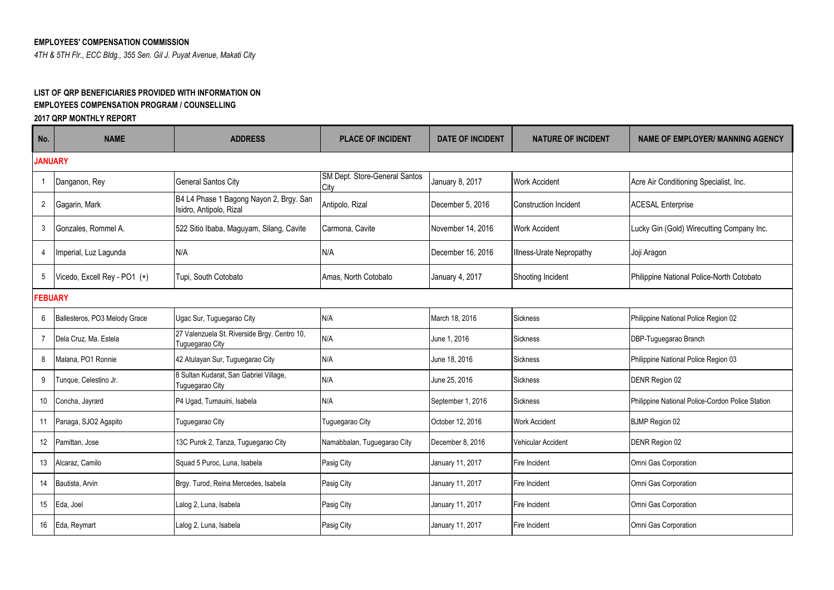## **EMPLOYEES' COMPENSATION COMMISSION**

*4TH & 5TH Flr., ECC Bldg., 355 Sen. Gil J. Puyat Avenue, Makati City*

## **LIST OF QRP BENEFICIARIES PROVIDED WITH INFORMATION ON EMPLOYEES COMPENSATION PROGRAM / COUNSELLING**

**2017 QRP MONTHLY REPORT**

| No.             | <b>NAME</b>                   | <b>ADDRESS</b>                                                     | <b>PLACE OF INCIDENT</b>              | <b>DATE OF INCIDENT</b> | <b>NATURE OF INCIDENT</b>    | <b>NAME OF EMPLOYER/ MANNING AGENCY</b>          |  |  |  |  |
|-----------------|-------------------------------|--------------------------------------------------------------------|---------------------------------------|-------------------------|------------------------------|--------------------------------------------------|--|--|--|--|
|                 | <b>JANUARY</b>                |                                                                    |                                       |                         |                              |                                                  |  |  |  |  |
|                 | Danganon, Rey                 | <b>General Santos City</b>                                         | SM Dept. Store-General Santos<br>City | January 8, 2017         | <b>Work Accident</b>         | Acre Air Conditioning Specialist, Inc.           |  |  |  |  |
| $\overline{2}$  | Gagarin, Mark                 | B4 L4 Phase 1 Bagong Nayon 2, Brgy. San<br>Isidro, Antipolo, Rizal | Antipolo, Rizal                       | December 5, 2016        | <b>Construction Incident</b> | <b>ACESAL Enterprise</b>                         |  |  |  |  |
| 3               | Gonzales, Rommel A.           | 522 Sitio Ibaba, Maguyam, Silang, Cavite                           | Carmona, Cavite                       | November 14, 2016       | <b>Work Accident</b>         | Lucky Gin (Gold) Wirecutting Company Inc.        |  |  |  |  |
| $\overline{4}$  | Imperial, Luz Lagunda         | N/A                                                                | N/A                                   | December 16, 2016       | Illness-Urate Nepropathy     | Joji Aragon                                      |  |  |  |  |
| 5               | Vicedo, Excell Rey - PO1 (+)  | Tupi, South Cotobato                                               | Amas. North Cotobato                  | January 4, 2017         | Shooting Incident            | Philippine National Police-North Cotobato        |  |  |  |  |
|                 | <b>FEBUARY</b>                |                                                                    |                                       |                         |                              |                                                  |  |  |  |  |
| 6               | Ballesteros, PO3 Melody Grace | Ugac Sur, Tuguegarao City                                          | N/A                                   | March 18, 2016          | <b>Sickness</b>              | Philippine National Police Region 02             |  |  |  |  |
| $\overline{7}$  | Dela Cruz, Ma. Estela         | 27 Valenzuela St. Riverside Brgy. Centro 10,<br>Tuguegarao City    | N/A                                   | June 1, 2016            | Sickness                     | DBP-Tuguegarao Branch                            |  |  |  |  |
| 8               | Malana, PO1 Ronnie            | 42 Atulayan Sur, Tuguegarao City                                   | N/A                                   | June 18, 2016           | <b>Sickness</b>              | Philippine National Police Region 03             |  |  |  |  |
| 9               | Tunque, Celestino Jr.         | 8 Sultan Kudarat, San Gabriel Village,<br>Tuguegarao City          | N/A                                   | June 25, 2016           | <b>Sickness</b>              | <b>DENR Region 02</b>                            |  |  |  |  |
| 10              | Concha, Jayrard               | P4 Ugad, Tumauini, Isabela                                         | N/A                                   | September 1, 2016       | <b>Sickness</b>              | Philippine National Police-Cordon Police Station |  |  |  |  |
| 11              | Panaga, SJO2 Agapito          | Tuguegarao City                                                    | Tuguegarao City                       | October 12, 2016        | <b>Work Accident</b>         | <b>BJMP Region 02</b>                            |  |  |  |  |
| 12 <sup>°</sup> | Pamittan, Jose                | 13C Purok 2, Tanza, Tuguegarao City                                | Namabbalan, Tuguegarao City           | December 8, 2016        | Vehicular Accident           | DENR Region 02                                   |  |  |  |  |
| 13              | Alcaraz, Camilo               | Squad 5 Puroc, Luna, Isabela                                       | Pasig City                            | January 11, 2017        | <b>Fire Incident</b>         | Omni Gas Corporation                             |  |  |  |  |
| 14              | Bautista, Arvin               | Brgy. Turod, Reina Mercedes, Isabela                               | Pasig City                            | January 11, 2017        | Fire Incident                | Omni Gas Corporation                             |  |  |  |  |
| 15              | Eda, Joel                     | Lalog 2, Luna, Isabela                                             | Pasig City                            | January 11, 2017        | Fire Incident                | Omni Gas Corporation                             |  |  |  |  |
| 16              | Eda, Reymart                  | Lalog 2, Luna, Isabela                                             | Pasig City                            | January 11, 2017        | Fire Incident                | Omni Gas Corporation                             |  |  |  |  |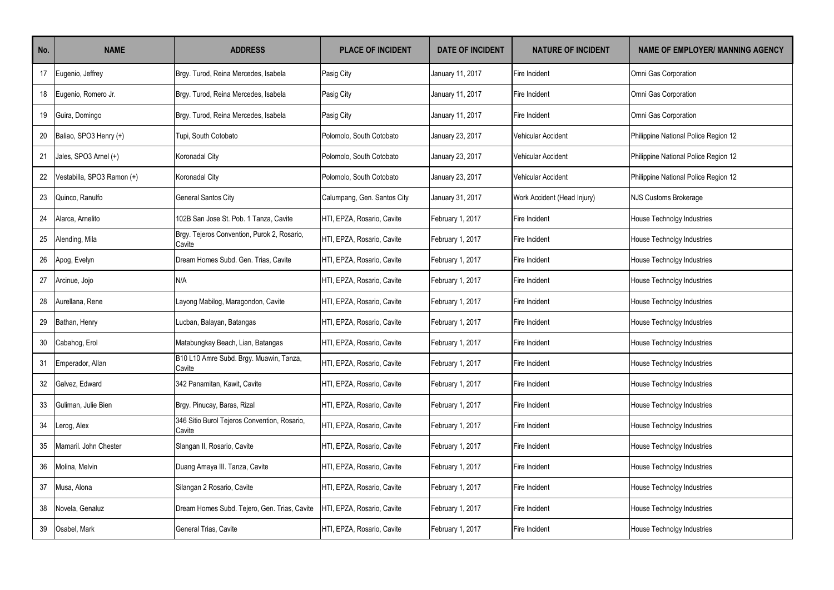| No. | <b>NAME</b>                | <b>ADDRESS</b>                                         | <b>PLACE OF INCIDENT</b>    | <b>DATE OF INCIDENT</b> | <b>NATURE OF INCIDENT</b>   | <b>NAME OF EMPLOYER/ MANNING AGENCY</b> |
|-----|----------------------------|--------------------------------------------------------|-----------------------------|-------------------------|-----------------------------|-----------------------------------------|
| 17  | Eugenio, Jeffrey           | Brgy. Turod, Reina Mercedes, Isabela                   | Pasig City                  | January 11, 2017        | Fire Incident               | Omni Gas Corporation                    |
| 18  | Eugenio, Romero Jr.        | Brgy. Turod, Reina Mercedes, Isabela                   | Pasig City                  | January 11, 2017        | Fire Incident               | Omni Gas Corporation                    |
| 19  | Guira, Domingo             | Brgy. Turod, Reina Mercedes, Isabela                   | Pasig City                  | January 11, 2017        | Fire Incident               | Omni Gas Corporation                    |
| 20  | Baliao, SPO3 Henry (+)     | Tupi, South Cotobato                                   | Polomolo, South Cotobato    | January 23, 2017        | Vehicular Accident          | Philippine National Police Region 12    |
| 21  | Jales, SPO3 Arnel (+)      | Koronadal City                                         | Polomolo, South Cotobato    | January 23, 2017        | Vehicular Accident          | Philippine National Police Region 12    |
| 22  | Vestabilla, SPO3 Ramon (+) | Koronadal City                                         | Polomolo, South Cotobato    | January 23, 2017        | Vehicular Accident          | Philippine National Police Region 12    |
| 23  | Quinco, Ranulfo            | General Santos City                                    | Calumpang, Gen. Santos City | January 31, 2017        | Work Accident (Head Injury) | NJS Customs Brokerage                   |
| 24  | Alarca, Arnelito           | 102B San Jose St. Pob. 1 Tanza, Cavite                 | HTI, EPZA, Rosario, Cavite  | February 1, 2017        | Fire Incident               | House Technolgy Industries              |
| 25  | Alending, Mila             | Brgy. Tejeros Convention, Purok 2, Rosario,<br>Cavite  | HTI, EPZA, Rosario, Cavite  | February 1, 2017        | Fire Incident               | House Technolgy Industries              |
| 26  | Apog, Evelyn               | Dream Homes Subd. Gen. Trias, Cavite                   | HTI, EPZA, Rosario, Cavite  | February 1, 2017        | Fire Incident               | House Technolgy Industries              |
| 27  | Arcinue, Jojo              | N/A                                                    | HTI, EPZA, Rosario, Cavite  | February 1, 2017        | Fire Incident               | House Technolgy Industries              |
| 28  | Aurellana, Rene            | Layong Mabilog, Maragondon, Cavite                     | HTI, EPZA, Rosario, Cavite  | February 1, 2017        | Fire Incident               | House Technolgy Industries              |
| 29  | Bathan, Henry              | Lucban, Balayan, Batangas                              | HTI, EPZA, Rosario, Cavite  | February 1, 2017        | Fire Incident               | House Technolgy Industries              |
| 30  | Cabahog, Erol              | Matabungkay Beach, Lian, Batangas                      | HTI, EPZA, Rosario, Cavite  | February 1, 2017        | Fire Incident               | House Technolgy Industries              |
| 31  | Emperador, Allan           | B10 L10 Amre Subd. Brgy. Muawin, Tanza,<br>Cavite      | HTI, EPZA, Rosario, Cavite  | February 1, 2017        | Fire Incident               | House Technolgy Industries              |
| 32  | Galvez, Edward             | 342 Panamitan, Kawit, Cavite                           | HTI, EPZA, Rosario, Cavite  | February 1, 2017        | Fire Incident               | House Technolgy Industries              |
| 33  | Guliman, Julie Bien        | Brgy. Pinucay, Baras, Rizal                            | HTI, EPZA, Rosario, Cavite  | February 1, 2017        | Fire Incident               | House Technolgy Industries              |
| 34  | erog, Alex                 | 346 Sitio Burol Tejeros Convention, Rosario,<br>Cavite | HTI, EPZA, Rosario, Cavite  | February 1, 2017        | Fire Incident               | House Technolgy Industries              |
| 35  | Mamaril, John Chester      | Slangan II, Rosario, Cavite                            | HTI, EPZA, Rosario, Cavite  | February 1, 2017        | Fire Incident               | House Technolgy Industries              |
| 36  | Molina, Melvin             | Duang Amaya III. Tanza, Cavite                         | HTI, EPZA, Rosario, Cavite  | February 1, 2017        | Fire Incident               | House Technolgy Industries              |
| 37  | Musa, Alona                | Silangan 2 Rosario, Cavite                             | HTI, EPZA, Rosario, Cavite  | February 1, 2017        | Fire Incident               | House Technolgy Industries              |
| 38  | Novela, Genaluz            | Dream Homes Subd. Tejero, Gen. Trias, Cavite           | HTI, EPZA, Rosario, Cavite  | February 1, 2017        | Fire Incident               | House Technolgy Industries              |
| 39  | Osabel, Mark               | General Trias, Cavite                                  | HTI, EPZA, Rosario, Cavite  | February 1, 2017        | Fire Incident               | House Technolgy Industries              |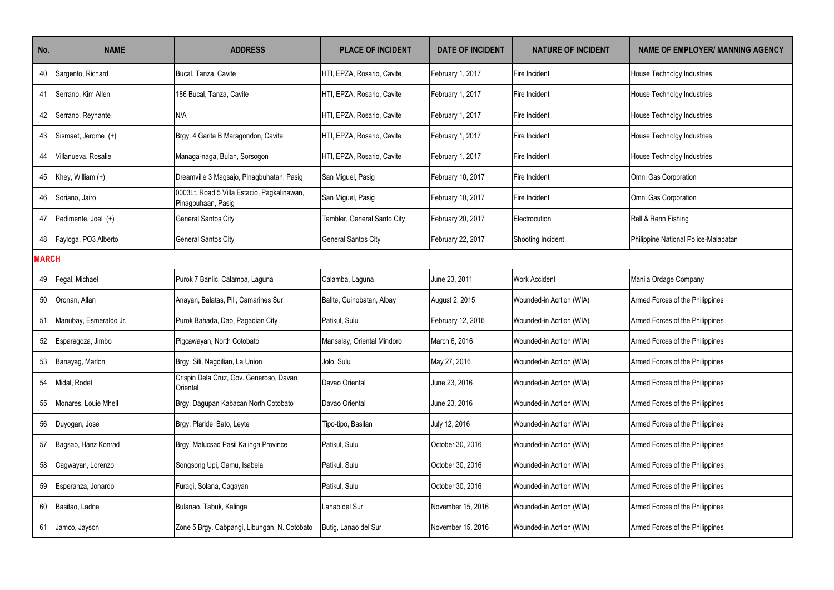| No. | <b>NAME</b>            | <b>ADDRESS</b>                                                    | <b>PLACE OF INCIDENT</b>    | <b>DATE OF INCIDENT</b> | <b>NATURE OF INCIDENT</b> | <b>NAME OF EMPLOYER/ MANNING AGENCY</b> |  |  |
|-----|------------------------|-------------------------------------------------------------------|-----------------------------|-------------------------|---------------------------|-----------------------------------------|--|--|
| 40  | Sargento, Richard      | Bucal, Tanza, Cavite                                              | HTI, EPZA, Rosario, Cavite  | February 1, 2017        | Fire Incident             | House Technolgy Industries              |  |  |
| 41  | Serrano, Kim Allen     | 186 Bucal, Tanza, Cavite                                          | HTI, EPZA, Rosario, Cavite  | February 1, 2017        | Fire Incident             | House Technolgy Industries              |  |  |
| 42  | Serrano, Reynante      | N/A                                                               | HTI, EPZA, Rosario, Cavite  | February 1, 2017        | Fire Incident             | House Technolgy Industries              |  |  |
| 43  | Sismaet, Jerome (+)    | Brgy. 4 Garita B Maragondon, Cavite                               | HTI, EPZA, Rosario, Cavite  | February 1, 2017        | Fire Incident             | House Technolgy Industries              |  |  |
| 44  | Villanueva, Rosalie    | Managa-naga, Bulan, Sorsogon                                      | HTI, EPZA, Rosario, Cavite  | February 1, 2017        | Fire Incident             | <b>House Technolgy Industries</b>       |  |  |
| 45  | Khey, William (+)      | Dreamville 3 Magsajo, Pinagbuhatan, Pasig                         | San Miguel, Pasig           | February 10, 2017       | Fire Incident             | Omni Gas Corporation                    |  |  |
| 46  | Soriano, Jairo         | 0003Lt. Road 5 Villa Estacio, Pagkalinawan,<br>Pinagbuhaan, Pasig | San Miguel, Pasig           | February 10, 2017       | Fire Incident             | Omni Gas Corporation                    |  |  |
| 47  | Pedimente, Joel (+)    | <b>General Santos City</b>                                        | Tambler, General Santo City | February 20, 2017       | Electrocution             | Rell & Renn Fishing                     |  |  |
| 48  | Fayloga, PO3 Alberto   | General Santos City                                               | <b>General Santos City</b>  | February 22, 2017       | Shooting Incident         | Philippine National Police-Malapatan    |  |  |
|     | <b>MARCH</b>           |                                                                   |                             |                         |                           |                                         |  |  |
| 49  | Fegal, Michael         | Purok 7 Banlic, Calamba, Laguna                                   | Calamba, Laguna             | June 23, 2011           | <b>Work Accident</b>      | Manila Ordage Company                   |  |  |
| 50  | Oronan. Allan          | Anayan, Balatas, Pili, Camarines Sur                              | Balite, Guinobatan, Albay   | August 2, 2015          | Wounded-in Acrtion (WIA)  | Armed Forces of the Philippines         |  |  |
| 51  | Manubay, Esmeraldo Jr. | Purok Bahada, Dao, Pagadian City                                  | Patikul, Sulu               | February 12, 2016       | Wounded-in Acrtion (WIA)  | Armed Forces of the Philippines         |  |  |
| 52  | Esparagoza, Jimbo      | Pigcawayan, North Cotobato                                        | Mansalay, Oriental Mindoro  | March 6, 2016           | Wounded-in Acrtion (WIA)  | Armed Forces of the Philippines         |  |  |
| 53  | Banayag, Marlon        | Brgy. Sili, Nagdilian, La Union                                   | Jolo, Sulu                  | May 27, 2016            | Wounded-in Acrtion (WIA)  | Armed Forces of the Philippines         |  |  |
| 54  | Midal, Rodel           | Crispin Dela Cruz, Gov. Generoso, Davao<br>Oriental               | Davao Oriental              | June 23, 2016           | Wounded-in Acrtion (WIA)  | Armed Forces of the Philippines         |  |  |
| 55  | Monares, Louie Mhell   | Brgy. Dagupan Kabacan North Cotobato                              | Davao Oriental              | June 23, 2016           | Wounded-in Acrtion (WIA)  | Armed Forces of the Philippines         |  |  |
| 56  | Duyogan, Jose          | Brgy. Plaridel Bato, Leyte                                        | Tipo-tipo, Basilan          | July 12, 2016           | Wounded-in Acrtion (WIA)  | Armed Forces of the Philippines         |  |  |
| 57  | Bagsao, Hanz Konrad    | Brgy. Malucsad Pasil Kalinga Province                             | Patikul, Sulu               | October 30, 2016        | Wounded-in Acrtion (WIA)  | Armed Forces of the Philippines         |  |  |
| 58  | Cagwayan, Lorenzo      | Songsong Upi, Gamu, Isabela                                       | Patikul, Sulu               | October 30, 2016        | Wounded-in Acrtion (WIA)  | Armed Forces of the Philippines         |  |  |
| 59  | Esperanza, Jonardo     | Furagi, Solana, Cagayan                                           | Patikul, Sulu               | October 30, 2016        | Wounded-in Acrtion (WIA)  | Armed Forces of the Philippines         |  |  |
| 60  | Basitao, Ladne         | Bulanao, Tabuk, Kalinga                                           | Lanao del Sur               | November 15, 2016       | Wounded-in Acrtion (WIA)  | Armed Forces of the Philippines         |  |  |
| 61  | Jamco, Jayson          | Zone 5 Brgy. Cabpangi, Libungan. N. Cotobato                      | Butig, Lanao del Sur        | November 15, 2016       | Wounded-in Acrtion (WIA)  | Armed Forces of the Philippines         |  |  |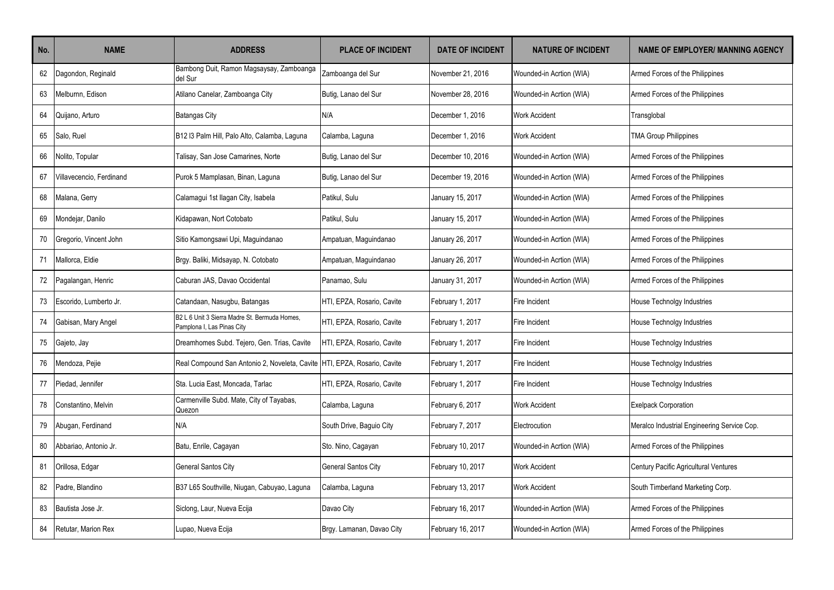| No.    | <b>NAME</b>              | <b>ADDRESS</b>                                                              | <b>PLACE OF INCIDENT</b>   | <b>DATE OF INCIDENT</b> | <b>NATURE OF INCIDENT</b> | <b>NAME OF EMPLOYER/ MANNING AGENCY</b>     |
|--------|--------------------------|-----------------------------------------------------------------------------|----------------------------|-------------------------|---------------------------|---------------------------------------------|
| 62     | Dagondon, Reginald       | Bambong Duit, Ramon Magsaysay, Zamboanga<br>del Sur                         | Zamboanga del Sur          | November 21, 2016       | Wounded-in Acrtion (WIA)  | Armed Forces of the Philippines             |
| 63     | Melburnn, Edison         | Atilano Canelar, Zamboanga City                                             | Butig, Lanao del Sur       | November 28, 2016       | Wounded-in Acrtion (WIA)  | Armed Forces of the Philippines             |
| 64     | Quijano, Arturo          | <b>Batangas City</b>                                                        | N/A                        | December 1, 2016        | <b>Work Accident</b>      | Transglobal                                 |
| 65     | Salo, Ruel               | B12 I3 Palm Hill, Palo Alto, Calamba, Laguna                                | Calamba, Laquna            | December 1, 2016        | <b>Work Accident</b>      | <b>TMA Group Philippines</b>                |
| 66     | Nolito, Topular          | Talisay, San Jose Camarines, Norte                                          | Butig, Lanao del Sur       | December 10, 2016       | Wounded-in Acrtion (WIA)  | Armed Forces of the Philippines             |
| 67     | Villavecencio, Ferdinand | Purok 5 Mamplasan, Binan, Laguna                                            | Butig, Lanao del Sur       | December 19, 2016       | Wounded-in Acrtion (WIA)  | Armed Forces of the Philippines             |
| 68     | Malana, Gerry            | Calamagui 1st Ilagan City, Isabela                                          | Patikul, Sulu              | January 15, 2017        | Wounded-in Acrtion (WIA)  | Armed Forces of the Philippines             |
| 69     | Mondejar, Danilo         | Kidapawan, Nort Cotobato                                                    | Patikul, Sulu              | January 15, 2017        | Wounded-in Acrtion (WIA)  | Armed Forces of the Philippines             |
| 70     | Gregorio, Vincent John   | Sitio Kamongsawi Upi, Maguindanao                                           | Ampatuan, Maguindanao      | January 26, 2017        | Wounded-in Acrtion (WIA)  | Armed Forces of the Philippines             |
| 71     | Mallorca, Eldie          | Brgy. Baliki, Midsayap, N. Cotobato                                         | Ampatuan, Maquindanao      | January 26, 2017        | Wounded-in Acrtion (WIA)  | Armed Forces of the Philippines             |
| $72\,$ | Pagalangan, Henric       | Caburan JAS. Davao Occidental                                               | Panamao, Sulu              | January 31, 2017        | Wounded-in Acrtion (WIA)  | Armed Forces of the Philippines             |
| 73     | Escorido, Lumberto Jr.   | Catandaan, Nasugbu, Batangas                                                | HTI, EPZA, Rosario, Cavite | February 1, 2017        | Fire Incident             | House Technolgy Industries                  |
| 74     | Gabisan, Mary Angel      | B2 L 6 Unit 3 Sierra Madre St. Bermuda Homes,<br>Pamplona I, Las Pinas City | HTI. EPZA. Rosario. Cavite | February 1, 2017        | Fire Incident             | <b>House Technolgy Industries</b>           |
| 75     | Gajeto, Jay              | Dreamhomes Subd. Tejero, Gen. Trias, Cavite                                 | HTI, EPZA, Rosario, Cavite | February 1, 2017        | Fire Incident             | House Technolgy Industries                  |
| 76     | Mendoza, Pejie           | Real Compound San Antonio 2, Noveleta, Cavite HTI, EPZA, Rosario, Cavite    |                            | February 1, 2017        | Fire Incident             | House Technolgy Industries                  |
| 77     | Piedad, Jennifer         | Sta. Lucia East, Moncada, Tarlac                                            | HTI, EPZA, Rosario, Cavite | February 1, 2017        | Fire Incident             | House Technolgy Industries                  |
| 78     | Constantino, Melvin      | Carmenville Subd. Mate, City of Tayabas,<br>Quezon                          | Calamba, Laguna            | February 6, 2017        | <b>Work Accident</b>      | <b>Exelpack Corporation</b>                 |
| 79     | Abugan, Ferdinand        | N/A                                                                         | South Drive, Baguio City   | February 7, 2017        | Electrocution             | Meralco Industrial Engineering Service Cop. |
| 80     | Abbariao, Antonio Jr.    | Batu, Enrile, Cagayan                                                       | Sto. Nino, Cagayan         | February 10, 2017       | Wounded-in Acrtion (WIA)  | Armed Forces of the Philippines             |
| 81     | Orillosa, Edgar          | <b>General Santos City</b>                                                  | <b>General Santos City</b> | February 10, 2017       | <b>Work Accident</b>      | Century Pacific Agricultural Ventures       |
| 82     | Padre, Blandino          | B37 L65 Southville, Niugan, Cabuyao, Laguna                                 | Calamba, Laquna            | February 13, 2017       | <b>Work Accident</b>      | South Timberland Marketing Corp.            |
| 83     | Bautista Jose Jr.        | Siclong, Laur, Nueva Ecija                                                  | Davao City                 | February 16, 2017       | Wounded-in Acrtion (WIA)  | Armed Forces of the Philippines             |
| 84     | Retutar, Marion Rex      | Lupao, Nueva Ecija                                                          | Brgy. Lamanan, Davao City  | February 16, 2017       | Wounded-in Acrtion (WIA)  | Armed Forces of the Philippines             |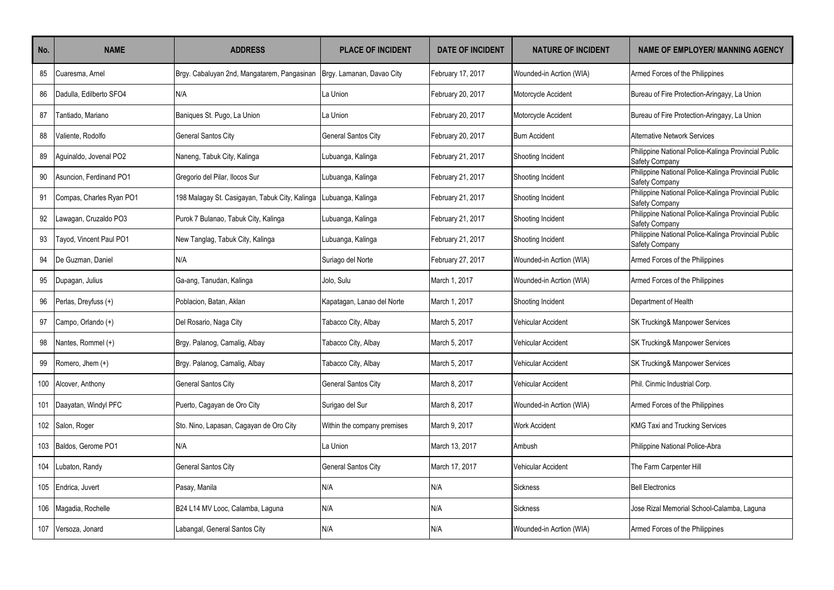| No. | <b>NAME</b>              | <b>ADDRESS</b>                                 | <b>PLACE OF INCIDENT</b>    | <b>DATE OF INCIDENT</b> | <b>NATURE OF INCIDENT</b> | <b>NAME OF EMPLOYER/ MANNING AGENCY</b>                                |
|-----|--------------------------|------------------------------------------------|-----------------------------|-------------------------|---------------------------|------------------------------------------------------------------------|
| 85  | Cuaresma, Arnel          | Brgy. Cabaluyan 2nd, Mangatarem, Pangasinan    | Brgy. Lamanan, Davao City   | February 17, 2017       | Wounded-in Acrtion (WIA)  | Armed Forces of the Philippines                                        |
| 86  | Dadulla. Edilberto SFO4  | N/A                                            | La Union                    | February 20, 2017       | Motorcycle Accident       | Bureau of Fire Protection-Aringayy, La Union                           |
| 87  | Tantiado, Mariano        | Baniques St. Pugo, La Union                    | La Union                    | February 20, 2017       | Motorcycle Accident       | Bureau of Fire Protection-Aringayy, La Union                           |
| 88  | Valiente, Rodolfo        | <b>General Santos City</b>                     | <b>General Santos City</b>  | February 20, 2017       | <b>Burn Accident</b>      | <b>Alternative Network Services</b>                                    |
| 89  | Aguinaldo, Jovenal PO2   | Naneng, Tabuk City, Kalinga                    | Lubuanga, Kalinga           | February 21, 2017       | Shooting Incident         | Philippine National Police-Kalinga Provincial Public<br>Safety Company |
| 90  | Asuncion, Ferdinand PO1  | Gregorio del Pilar, llocos Sur                 | Lubuanga, Kalinga           | February 21, 2017       | Shooting Incident         | Philippine National Police-Kalinga Provincial Public<br>Safety Company |
| 91  | Compas, Charles Ryan PO1 | 198 Malagay St. Casigayan, Tabuk City, Kalinga | Lubuanga, Kalinga           | February 21, 2017       | Shooting Incident         | Philippine National Police-Kalinga Provincial Public<br>Safety Company |
| 92  | Lawagan, Cruzaldo PO3    | Purok 7 Bulanao, Tabuk City, Kalinga           | Lubuanga, Kalinga           | February 21, 2017       | Shooting Incident         | Philippine National Police-Kalinga Provincial Public<br>Safety Company |
| 93  | Tayod, Vincent Paul PO1  | New Tanglag, Tabuk City, Kalinga               | Lubuanga, Kalinga           | February 21, 2017       | Shooting Incident         | Philippine National Police-Kalinga Provincial Public<br>Safety Company |
| 94  | De Guzman, Daniel        | N/A                                            | Suriago del Norte           | February 27, 2017       | Wounded-in Acrtion (WIA)  | Armed Forces of the Philippines                                        |
| 95  | Dupagan, Julius          | Ga-ang, Tanudan, Kalinga                       | Jolo, Sulu                  | March 1, 2017           | Wounded-in Acrtion (WIA)  | Armed Forces of the Philippines                                        |
| 96  | Perlas, Dreyfuss (+)     | Poblacion, Batan, Aklan                        | Kapatagan, Lanao del Norte  | March 1, 2017           | Shooting Incident         | Department of Health                                                   |
| 97  | Campo, Orlando (+)       | Del Rosario, Naga City                         | Tabacco City, Albay         | March 5, 2017           | Vehicular Accident        | SK Trucking& Manpower Services                                         |
| 98  | Nantes, Rommel (+)       | Brgy. Palanog, Camalig, Albay                  | Tabacco City, Albay         | March 5, 2017           | Vehicular Accident        | SK Trucking& Manpower Services                                         |
| 99  | Romero, Jhem (+)         | Brgy. Palanog, Camalig, Albay                  | Tabacco City, Albay         | March 5. 2017           | Vehicular Accident        | SK Trucking& Manpower Services                                         |
| 100 | Alcover, Anthony         | General Santos City                            | <b>General Santos City</b>  | March 8, 2017           | Vehicular Accident        | Phil. Cinmic Industrial Corp.                                          |
| 101 | Daayatan, Windyl PFC     | Puerto, Cagayan de Oro City                    | Surigao del Sur             | March 8, 2017           | Wounded-in Acrtion (WIA)  | Armed Forces of the Philippines                                        |
| 102 | Salon, Roger             | Sto. Nino, Lapasan, Cagayan de Oro City        | Within the company premises | March 9. 2017           | Work Accident             | <b>KMG Taxi and Trucking Services</b>                                  |
| 103 | Baldos, Gerome PO1       | N/A                                            | La Union                    | March 13, 2017          | Ambush                    | Philippine National Police-Abra                                        |
| 104 | Lubaton, Randy           | <b>General Santos City</b>                     | <b>General Santos City</b>  | March 17, 2017          | Vehicular Accident        | The Farm Carpenter Hill                                                |
| 105 | Endrica, Juvert          | Pasay, Manila                                  | N/A                         | N/A                     | Sickness                  | <b>Bell Electronics</b>                                                |
| 106 | Magadia, Rochelle        | B24 L14 MV Looc, Calamba, Laguna               | N/A                         | N/A                     | <b>Sickness</b>           | Jose Rizal Memorial School-Calamba, Laquna                             |
| 107 | Versoza, Jonard          | Labangal, General Santos City                  | N/A                         | N/A                     | Wounded-in Acrtion (WIA)  | Armed Forces of the Philippines                                        |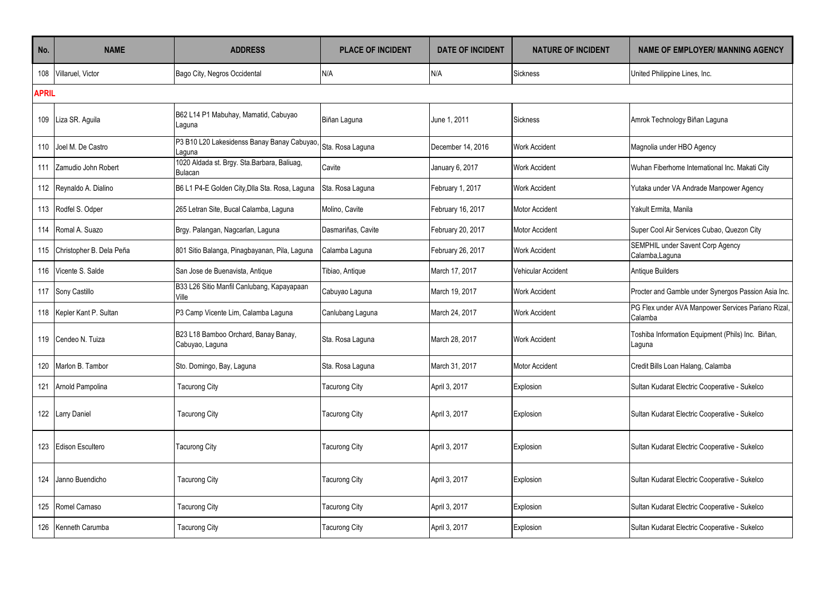| No.          | <b>NAME</b>                  | <b>ADDRESS</b>                                                | <b>PLACE OF INCIDENT</b> | <b>DATE OF INCIDENT</b> | <b>NATURE OF INCIDENT</b> | <b>NAME OF EMPLOYER/ MANNING AGENCY</b>                       |  |  |
|--------------|------------------------------|---------------------------------------------------------------|--------------------------|-------------------------|---------------------------|---------------------------------------------------------------|--|--|
| 108          | Villaruel, Victor            | Bago City, Negros Occidental                                  | N/A                      | N/A                     | <b>Sickness</b>           | United Philippine Lines, Inc.                                 |  |  |
| <b>APRIL</b> |                              |                                                               |                          |                         |                           |                                                               |  |  |
| 109          | Liza SR. Aguila              | B62 L14 P1 Mabuhay, Mamatid, Cabuyao<br>Laguna                | Biñan Laguna             | June 1, 2011            | <b>Sickness</b>           | Amrok Technology Biñan Laguna                                 |  |  |
| 110          | Joel M. De Castro            | P3 B10 L20 Lakesidenss Banay Banay Cabuyao,<br>Laquna         | Sta. Rosa Laguna         | December 14, 2016       | <b>Work Accident</b>      | Magnolia under HBO Agency                                     |  |  |
| 111          | Zamudio John Robert          | 1020 Aldada st. Brgy. Sta.Barbara, Baliuag,<br><b>Bulacan</b> | Cavite                   | January 6, 2017         | <b>Work Accident</b>      | Wuhan Fiberhome International Inc. Makati City                |  |  |
|              | 112 Reynaldo A. Dialino      | B6 L1 P4-E Golden City, Dlla Sta. Rosa, Laguna                | Sta. Rosa Laguna         | February 1, 2017        | <b>Work Accident</b>      | Yutaka under VA Andrade Manpower Agency                       |  |  |
|              | 113 Rodfel S. Odper          | 265 Letran Site, Bucal Calamba, Laguna                        | Molino, Cavite           | February 16, 2017       | <b>Motor Accident</b>     | Yakult Ermita, Manila                                         |  |  |
| 114          | Romal A. Suazo               | Brgy. Palangan, Nagcarlan, Laguna                             | Dasmariñas, Cavite       | February 20, 2017       | Motor Accident            | Super Cool Air Services Cubao, Quezon City                    |  |  |
|              | 115 Christopher B. Dela Peña | 801 Sitio Balanga, Pinagbayanan, Pila, Laguna                 | Calamba Laguna           | February 26, 2017       | Work Accident             | SEMPHIL under Savent Corp Agency<br>Calamba, Laguna           |  |  |
|              | 116 Vicente S. Salde         | San Jose de Buenavista, Antique                               | Tibiao, Antique          | March 17, 2017          | Vehicular Accident        | Antique Builders                                              |  |  |
|              | 117 Sony Castillo            | B33 L26 Sitio Manfil Canlubang, Kapayapaan<br>Ville           | Cabuyao Laguna           | March 19, 2017          | <b>Work Accident</b>      | Procter and Gamble under Synergos Passion Asia Inc.           |  |  |
|              | 118 Kepler Kant P. Sultan    | P3 Camp Vicente Lim, Calamba Laguna                           | Canlubang Laguna         | March 24, 2017          | <b>Work Accident</b>      | PG Flex under AVA Manpower Services Pariano Rizal,<br>Calamba |  |  |
|              | 119 Cendeo N. Tuiza          | B23 L18 Bamboo Orchard, Banay Banay,<br>Cabuyao, Laguna       | Sta. Rosa Laguna         | March 28, 2017          | <b>Work Accident</b>      | Toshiba Information Equipment (Phils) Inc. Biñan,<br>Laguna   |  |  |
| 120          | Marlon B. Tambor             | Sto. Domingo, Bay, Laguna                                     | Sta. Rosa Laguna         | March 31, 2017          | Motor Accident            | Credit Bills Loan Halang, Calamba                             |  |  |
|              | 121 Arnold Pampolina         | <b>Tacurong City</b>                                          | Tacurong City            | April 3, 2017           | Explosion                 | Sultan Kudarat Electric Cooperative - Sukelco                 |  |  |
|              | 122 Larry Daniel             | <b>Tacurong City</b>                                          | <b>Tacurong City</b>     | April 3, 2017           | Explosion                 | Sultan Kudarat Electric Cooperative - Sukelco                 |  |  |
| 123          | <b>Edison Escultero</b>      | Tacurong City                                                 | Tacurong City            | April 3, 2017           | Explosion                 | Sultan Kudarat Electric Cooperative - Sukelco                 |  |  |
|              | 124 Janno Buendicho          | <b>Tacurong City</b>                                          | Tacurong City            | April 3, 2017           | Explosion                 | Sultan Kudarat Electric Cooperative - Sukelco                 |  |  |
| 125          | Romel Carnaso                | <b>Tacurong City</b>                                          | Tacurong City            | April 3, 2017           | Explosion                 | Sultan Kudarat Electric Cooperative - Sukelco                 |  |  |
| 126          | Kenneth Carumba              | <b>Tacurong City</b>                                          | Tacurong City            | April 3, 2017           | Explosion                 | Sultan Kudarat Electric Cooperative - Sukelco                 |  |  |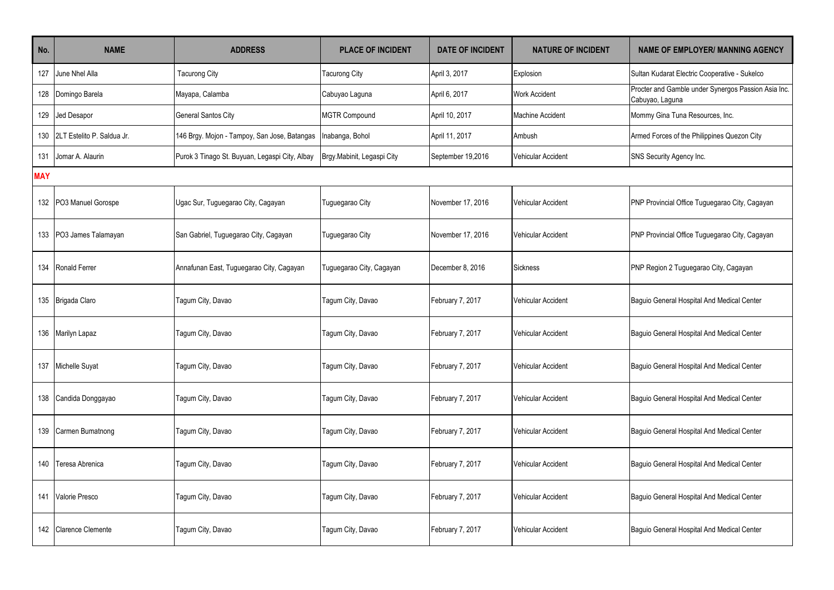| No.        | <b>NAME</b>                | <b>ADDRESS</b>                                 | <b>PLACE OF INCIDENT</b>   | <b>DATE OF INCIDENT</b> | <b>NATURE OF INCIDENT</b> | <b>NAME OF EMPLOYER/ MANNING AGENCY</b>                                |  |  |  |
|------------|----------------------------|------------------------------------------------|----------------------------|-------------------------|---------------------------|------------------------------------------------------------------------|--|--|--|
| 127        | June Nhel Alla             | <b>Tacurong City</b>                           | Tacurong City              | April 3, 2017           | Explosion                 | Sultan Kudarat Electric Cooperative - Sukelco                          |  |  |  |
|            | 128 Domingo Barela         | Mayapa, Calamba                                | Cabuyao Laguna             | April 6, 2017           | <b>Work Accident</b>      | Procter and Gamble under Synergos Passion Asia Inc.<br>Cabuyao, Laguna |  |  |  |
| 129        | Jed Desapor                | <b>General Santos City</b>                     | <b>MGTR Compound</b>       | April 10, 2017          | <b>Machine Accident</b>   | Mommy Gina Tuna Resources, Inc.                                        |  |  |  |
| 130        | 2LT Estelito P. Saldua Jr. | 146 Brgy. Mojon - Tampoy, San Jose, Batangas   | Inabanga, Bohol            | April 11, 2017          | Ambush                    | Armed Forces of the Philippines Quezon City                            |  |  |  |
| 131        | Jomar A. Alaurin           | Purok 3 Tinago St. Buyuan, Legaspi City, Albay | Brgy Mabinit, Legaspi City | September 19,2016       | <b>Vehicular Accident</b> | SNS Security Agency Inc.                                               |  |  |  |
| <b>MAY</b> |                            |                                                |                            |                         |                           |                                                                        |  |  |  |
|            | 132 PO3 Manuel Gorospe     | Ugac Sur, Tuguegarao City, Cagayan             | Tuguegarao City            | November 17, 2016       | Vehicular Accident        | PNP Provincial Office Tuguegarao City, Cagayan                         |  |  |  |
|            | 133 PO3 James Talamayan    | San Gabriel, Tuguegarao City, Cagayan          | Tuguegarao City            | November 17, 2016       | Vehicular Accident        | PNP Provincial Office Tuguegarao City, Cagayan                         |  |  |  |
|            | 134 Ronald Ferrer          | Annafunan East, Tuguegarao City, Cagayan       | Tuguegarao City, Cagayan   | December 8, 2016        | <b>Sickness</b>           | PNP Region 2 Tuguegarao City, Cagayan                                  |  |  |  |
|            | 135   Brigada Claro        | Tagum City, Davao                              | Tagum City, Davao          | February 7, 2017        | Vehicular Accident        | Baguio General Hospital And Medical Center                             |  |  |  |
|            | 136 Marilyn Lapaz          | Tagum City, Davao                              | Tagum City, Davao          | February 7, 2017        | Vehicular Accident        | Baguio General Hospital And Medical Center                             |  |  |  |
|            | 137 Michelle Suyat         | Tagum City, Davao                              | Tagum City, Davao          | February 7, 2017        | Vehicular Accident        | Baguio General Hospital And Medical Center                             |  |  |  |
|            | 138 Candida Donggayao      | Tagum City, Davao                              | Tagum City, Davao          | February 7, 2017        | Vehicular Accident        | Baguio General Hospital And Medical Center                             |  |  |  |
|            | 139 Carmen Bumatnong       | Tagum City, Davao                              | Tagum City, Davao          | February 7, 2017        | Vehicular Accident        | Baguio General Hospital And Medical Center                             |  |  |  |
| 140        | Teresa Abrenica            | Tagum City, Davao                              | Tagum City, Davao          | February 7, 2017        | Vehicular Accident        | Baguio General Hospital And Medical Center                             |  |  |  |
| 141        | Valorie Presco             | Tagum City, Davao                              | Tagum City, Davao          | February 7, 2017        | <b>Vehicular Accident</b> | Baguio General Hospital And Medical Center                             |  |  |  |
| 142        | <b>Clarence Clemente</b>   | Tagum City, Davao                              | Tagum City, Davao          | February 7, 2017        | <b>Vehicular Accident</b> | Baguio General Hospital And Medical Center                             |  |  |  |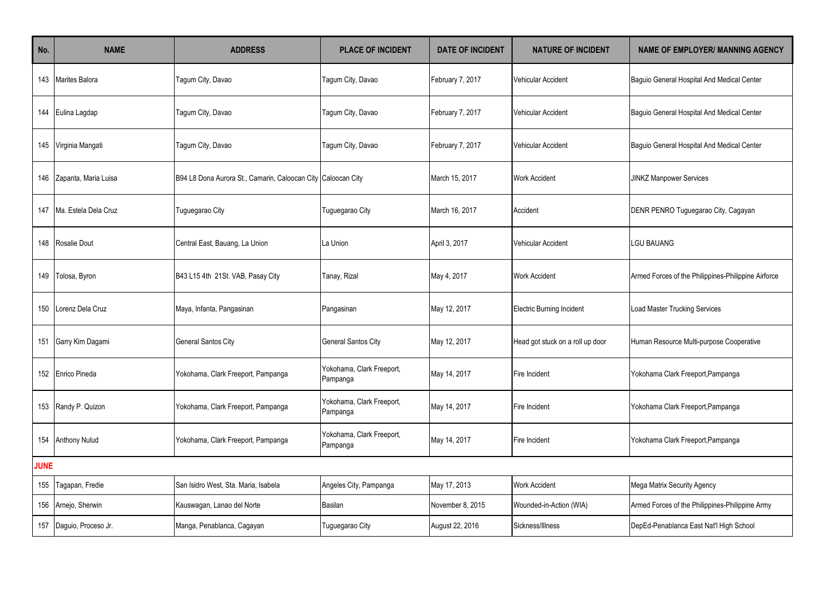| No.         | <b>NAME</b>              | <b>ADDRESS</b>                                               | <b>PLACE OF INCIDENT</b>              | <b>DATE OF INCIDENT</b> | <b>NATURE OF INCIDENT</b>        | <b>NAME OF EMPLOYER/ MANNING AGENCY</b>             |
|-------------|--------------------------|--------------------------------------------------------------|---------------------------------------|-------------------------|----------------------------------|-----------------------------------------------------|
|             | 143 Marites Balora       | Tagum City, Davao                                            | Tagum City, Davao                     | February 7, 2017        | Vehicular Accident               | Baguio General Hospital And Medical Center          |
|             | 144 Eulina Lagdap        | Tagum City, Davao                                            | Tagum City, Davao                     | February 7, 2017        | Vehicular Accident               | Baguio General Hospital And Medical Center          |
|             | 145 Virginia Mangati     | Tagum City, Davao                                            | Tagum City, Davao                     | February 7, 2017        | <b>Vehicular Accident</b>        | Baguio General Hospital And Medical Center          |
| 146         | Zapanta, Maria Luisa     | B94 L8 Dona Aurora St., Camarin, Caloocan City Caloocan City |                                       | March 15, 2017          | <b>Work Accident</b>             | <b>JINKZ Manpower Services</b>                      |
|             | 147 Ma. Estela Dela Cruz | Tuguegarao City                                              | Tuguegarao City                       | March 16, 2017          | Accident                         | DENR PENRO Tuguegarao City, Cagayan                 |
|             | 148 Rosalie Dout         | Central East, Bauang, La Union                               | La Union                              | April 3, 2017           | <b>Vehicular Accident</b>        | LGU BAUANG                                          |
|             | 149 Tolosa, Byron        | B43 L15 4th 21St. VAB, Pasay City                            | Tanay, Rizal                          | May 4, 2017             | <b>Work Accident</b>             | Armed Forces of the Philippines-Philippine Airforce |
| 150         | Lorenz Dela Cruz         | Maya, Infanta, Pangasinan                                    | Pangasinan                            | May 12, 2017            | <b>Electric Burning Incident</b> | <b>Load Master Trucking Services</b>                |
| 151         | Garry Kim Dagami         | General Santos City                                          | <b>General Santos City</b>            | May 12, 2017            | Head got stuck on a roll up door | Human Resource Multi-purpose Cooperative            |
|             | 152 Enrico Pineda        | Yokohama, Clark Freeport, Pampanga                           | Yokohama, Clark Freeport,<br>Pampanga | May 14, 2017            | Fire Incident                    | Yokohama Clark Freeport, Pampanga                   |
|             | 153 Randy P. Quizon      | Yokohama, Clark Freeport, Pampanga                           | Yokohama, Clark Freeport,<br>Pampanga | May 14, 2017            | Fire Incident                    | Yokohama Clark Freeport, Pampanga                   |
|             | 154 Anthony Nulud        | Yokohama, Clark Freeport, Pampanga                           | Yokohama, Clark Freeport,<br>Pampanga | May 14, 2017            | Fire Incident                    | Yokohama Clark Freeport, Pampanga                   |
| <b>JUNE</b> |                          |                                                              |                                       |                         |                                  |                                                     |
| 155         | Tagapan, Fredie          | San Isidro West, Sta. Maria, Isabela                         | Angeles City, Pampanga                | May 17, 2013            | <b>Work Accident</b>             | Mega Matrix Security Agency                         |
|             | 156 Arnejo, Sherwin      | Kauswagan, Lanao del Norte                                   | Basilan                               | November 8, 2015        | Wounded-in-Action (WIA)          | Armed Forces of the Philippines-Philippine Army     |
|             | 157 Daguio, Proceso Jr.  | Manga, Penablanca, Cagayan                                   | Tuguegarao City                       | August 22, 2016         | Sickness/Illness                 | DepEd-Penablanca East Nat'l High School             |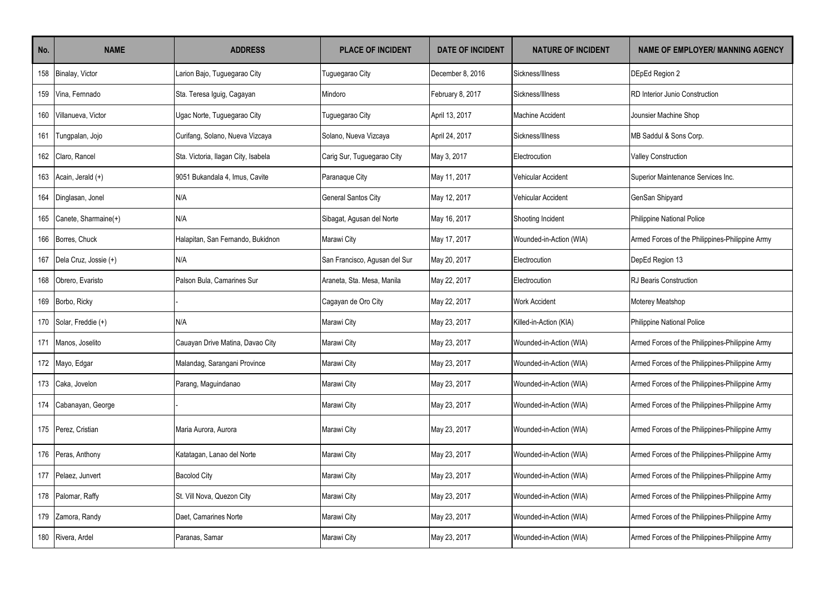| No. | <b>NAME</b>           | <b>ADDRESS</b>                      | <b>PLACE OF INCIDENT</b>      | <b>DATE OF INCIDENT</b> | <b>NATURE OF INCIDENT</b> | <b>NAME OF EMPLOYER/ MANNING AGENCY</b>         |
|-----|-----------------------|-------------------------------------|-------------------------------|-------------------------|---------------------------|-------------------------------------------------|
| 158 | Binalay, Victor       | Larion Bajo, Tuguegarao City        | Tuguegarao City               | December 8, 2016        | Sickness/Illness          | DEpEd Region 2                                  |
| 159 | Vina, Fernnado        | Sta. Teresa Iguig, Cagayan          | Mindoro                       | February 8, 2017        | Sickness/Illness          | RD Interior Junio Construction                  |
| 160 | Villanueva, Victor    | Ugac Norte, Tuguegarao City         | Tuguegarao City               | April 13, 2017          | <b>Machine Accident</b>   | Jounsier Machine Shop                           |
| 161 | Tungpalan, Jojo       | Curifang, Solano, Nueva Vizcaya     | Solano, Nueva Vizcaya         | April 24, 2017          | Sickness/Illness          | MB Saddul & Sons Corp.                          |
| 162 | Claro, Rancel         | Sta. Victoria, Ilagan City, Isabela | Carig Sur, Tuguegarao City    | May 3, 2017             | Electrocution             | <b>Valley Construction</b>                      |
| 163 | Acain, Jerald (+)     | 9051 Bukandala 4, Imus, Cavite      | Paranaque City                | May 11, 2017            | Vehicular Accident        | Superior Maintenance Services Inc.              |
| 164 | Dinglasan, Jonel      | N/A                                 | <b>General Santos City</b>    | May 12, 2017            | <b>Vehicular Accident</b> | GenSan Shipyard                                 |
| 165 | Canete, Sharmaine(+)  | N/A                                 | Sibagat, Agusan del Norte     | May 16, 2017            | Shooting Incident         | <b>Philippine National Police</b>               |
| 166 | Borres, Chuck         | Halapitan, San Fernando, Bukidnon   | Marawi City                   | May 17, 2017            | Wounded-in-Action (WIA)   | Armed Forces of the Philippines-Philippine Army |
| 167 | Dela Cruz, Jossie (+) | N/A                                 | San Francisco, Agusan del Sur | May 20, 2017            | Electrocution             | DepEd Region 13                                 |
| 168 | Obrero, Evaristo      | Palson Bula, Camarines Sur          | Araneta, Sta. Mesa, Manila    | May 22, 2017            | Electrocution             | RJ Bearis Construction                          |
| 169 | Borbo, Ricky          |                                     | Cagayan de Oro City           | May 22, 2017            | <b>Work Accident</b>      | Moterey Meatshop                                |
| 170 | Solar, Freddie (+)    | N/A                                 | Marawi City                   | May 23, 2017            | Killed-in-Action (KIA)    | <b>Philippine National Police</b>               |
| 171 | Manos, Joselito       | Cauayan Drive Matina, Davao City    | Marawi City                   | May 23, 2017            | Wounded-in-Action (WIA)   | Armed Forces of the Philippines-Philippine Army |
| 172 | Mayo, Edgar           | Malandag, Sarangani Province        | Marawi City                   | May 23, 2017            | Wounded-in-Action (WIA)   | Armed Forces of the Philippines-Philippine Army |
| 173 | Caka, Jovelon         | Parang, Maguindanao                 | Marawi City                   | May 23, 2017            | Wounded-in-Action (WIA)   | Armed Forces of the Philippines-Philippine Army |
| 174 | Cabanayan, George     |                                     | Marawi City                   | May 23, 2017            | Wounded-in-Action (WIA)   | Armed Forces of the Philippines-Philippine Army |
| 175 | Perez, Cristian       | Maria Aurora, Aurora                | Marawi City                   | May 23, 2017            | Wounded-in-Action (WIA)   | Armed Forces of the Philippines-Philippine Army |
| 176 | Peras, Anthony        | Katatagan, Lanao del Norte          | Marawi City                   | May 23, 2017            | Wounded-in-Action (WIA)   | Armed Forces of the Philippines-Philippine Army |
| 177 | Pelaez, Junvert       | <b>Bacolod City</b>                 | Marawi City                   | May 23, 2017            | Wounded-in-Action (WIA)   | Armed Forces of the Philippines-Philippine Army |
| 178 | Palomar, Raffy        | St. Vill Nova, Quezon City          | Marawi City                   | May 23, 2017            | Wounded-in-Action (WIA)   | Armed Forces of the Philippines-Philippine Army |
| 179 | Zamora, Randy         | Daet, Camarines Norte               | Marawi City                   | May 23, 2017            | Wounded-in-Action (WIA)   | Armed Forces of the Philippines-Philippine Army |
| 180 | Rivera, Ardel         | Paranas, Samar                      | Marawi City                   | May 23, 2017            | Wounded-in-Action (WIA)   | Armed Forces of the Philippines-Philippine Army |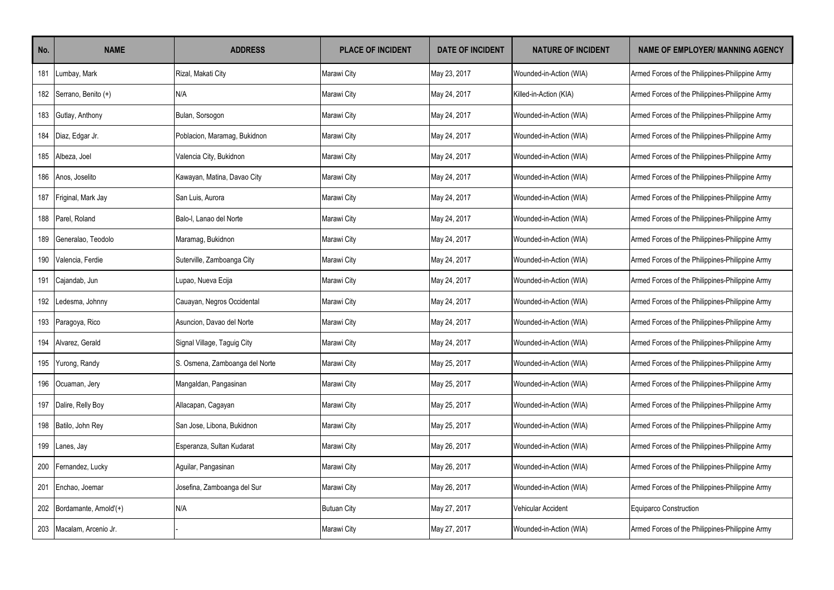| No. | <b>NAME</b>            | <b>ADDRESS</b>                 | <b>PLACE OF INCIDENT</b> | <b>DATE OF INCIDENT</b> | <b>NATURE OF INCIDENT</b> | <b>NAME OF EMPLOYER/ MANNING AGENCY</b>         |
|-----|------------------------|--------------------------------|--------------------------|-------------------------|---------------------------|-------------------------------------------------|
| 181 | Lumbay, Mark           | Rizal, Makati City             | Marawi City              | May 23, 2017            | Wounded-in-Action (WIA)   | Armed Forces of the Philippines-Philippine Army |
| 182 | Serrano, Benito (+)    | N/A                            | Marawi City              | May 24, 2017            | Killed-in-Action (KIA)    | Armed Forces of the Philippines-Philippine Army |
| 183 | Gutlay, Anthony        | Bulan, Sorsogon                | Marawi City              | May 24, 2017            | Wounded-in-Action (WIA)   | Armed Forces of the Philippines-Philippine Army |
| 184 | Diaz, Edgar Jr.        | Poblacion, Maramag, Bukidnon   | Marawi City              | May 24, 2017            | Wounded-in-Action (WIA)   | Armed Forces of the Philippines-Philippine Army |
| 185 | Albeza, Joel           | Valencia City, Bukidnon        | Marawi City              | May 24, 2017            | Wounded-in-Action (WIA)   | Armed Forces of the Philippines-Philippine Army |
| 186 | Anos, Joselito         | Kawayan, Matina, Davao City    | Marawi City              | May 24, 2017            | Wounded-in-Action (WIA)   | Armed Forces of the Philippines-Philippine Army |
| 187 | Friginal, Mark Jay     | San Luis, Aurora               | Marawi City              | May 24, 2017            | Wounded-in-Action (WIA)   | Armed Forces of the Philippines-Philippine Army |
| 188 | Parel, Roland          | Balo-l. Lanao del Norte        | Marawi City              | May 24, 2017            | Wounded-in-Action (WIA)   | Armed Forces of the Philippines-Philippine Army |
| 189 | Generalao, Teodolo     | Maramag, Bukidnon              | Marawi City              | May 24, 2017            | Wounded-in-Action (WIA)   | Armed Forces of the Philippines-Philippine Army |
| 190 | Valencia, Ferdie       | Suterville, Zamboanga City     | Marawi City              | May 24, 2017            | Wounded-in-Action (WIA)   | Armed Forces of the Philippines-Philippine Army |
| 191 | Cajandab, Jun          | Lupao, Nueva Ecija             | Marawi City              | May 24, 2017            | Wounded-in-Action (WIA)   | Armed Forces of the Philippines-Philippine Army |
| 192 | Ledesma, Johnny        | Cauayan, Negros Occidental     | Marawi City              | May 24, 2017            | Wounded-in-Action (WIA)   | Armed Forces of the Philippines-Philippine Army |
| 193 | Paragoya, Rico         | Asuncion, Davao del Norte      | Marawi City              | May 24, 2017            | Wounded-in-Action (WIA)   | Armed Forces of the Philippines-Philippine Army |
| 194 | Alvarez. Gerald        | Signal Village, Taguig City    | Marawi City              | May 24, 2017            | Wounded-in-Action (WIA)   | Armed Forces of the Philippines-Philippine Army |
| 195 | Yurong, Randy          | S. Osmena, Zamboanga del Norte | Marawi City              | May 25, 2017            | Wounded-in-Action (WIA)   | Armed Forces of the Philippines-Philippine Army |
| 196 | Ocuaman, Jery          | Mangaldan, Pangasinan          | Marawi City              | May 25, 2017            | Wounded-in-Action (WIA)   | Armed Forces of the Philippines-Philippine Army |
| 197 | Dalire, Relly Boy      | Allacapan, Cagayan             | Marawi City              | May 25, 2017            | Wounded-in-Action (WIA)   | Armed Forces of the Philippines-Philippine Army |
| 198 | Batilo, John Rey       | San Jose, Libona, Bukidnon     | Marawi City              | May 25, 2017            | Wounded-in-Action (WIA)   | Armed Forces of the Philippines-Philippine Army |
| 199 | Lanes, Jay             | Esperanza, Sultan Kudarat      | Marawi City              | May 26, 2017            | Wounded-in-Action (WIA)   | Armed Forces of the Philippines-Philippine Army |
| 200 | Fernandez, Lucky       | Aguilar, Pangasinan            | Marawi City              | May 26, 2017            | Wounded-in-Action (WIA)   | Armed Forces of the Philippines-Philippine Army |
| 201 | Enchao, Joemar         | Josefina, Zamboanga del Sur    | Marawi City              | May 26, 2017            | Wounded-in-Action (WIA)   | Armed Forces of the Philippines-Philippine Army |
| 202 | Bordamante, Arnold'(+) | N/A                            | <b>Butuan City</b>       | May 27, 2017            | Vehicular Accident        | Equiparco Construction                          |
| 203 | Macalam, Arcenio Jr.   |                                | Marawi City              | May 27, 2017            | Wounded-in-Action (WIA)   | Armed Forces of the Philippines-Philippine Army |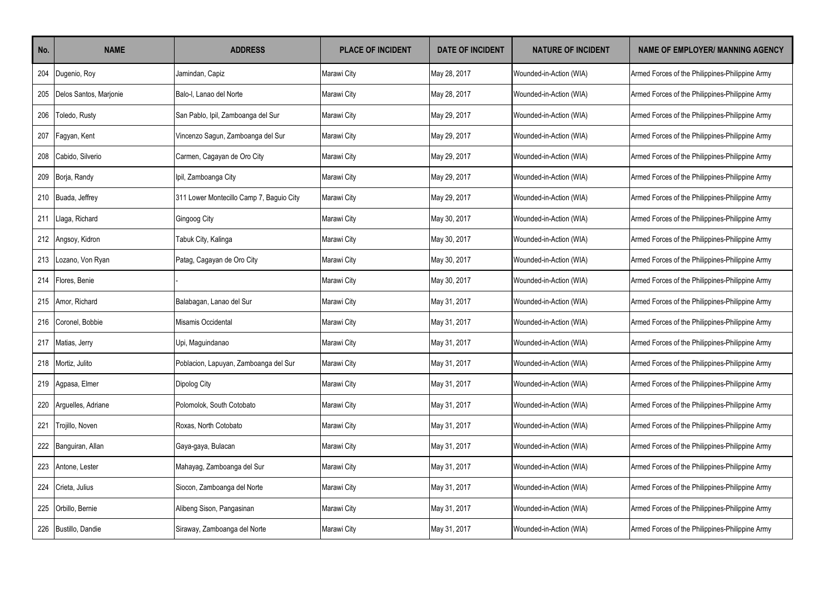| No. | <b>NAME</b>            | <b>ADDRESS</b>                           | <b>PLACE OF INCIDENT</b> | <b>DATE OF INCIDENT</b> | <b>NATURE OF INCIDENT</b> | <b>NAME OF EMPLOYER/ MANNING AGENCY</b>         |
|-----|------------------------|------------------------------------------|--------------------------|-------------------------|---------------------------|-------------------------------------------------|
| 204 | Dugenio, Roy           | Jamindan, Capiz                          | Marawi City              | May 28, 2017            | Wounded-in-Action (WIA)   | Armed Forces of the Philippines-Philippine Army |
| 205 | Delos Santos, Marjonie | Balo-I. Lanao del Norte                  | Marawi City              | May 28, 2017            | Wounded-in-Action (WIA)   | Armed Forces of the Philippines-Philippine Army |
| 206 | Toledo, Rusty          | San Pablo, Ipil, Zamboanga del Sur       | Marawi City              | May 29, 2017            | Wounded-in-Action (WIA)   | Armed Forces of the Philippines-Philippine Army |
| 207 | Fagyan, Kent           | Vincenzo Sagun, Zamboanga del Sur        | Marawi City              | May 29, 2017            | Wounded-in-Action (WIA)   | Armed Forces of the Philippines-Philippine Army |
| 208 | Cabido, Silverio       | Carmen, Cagayan de Oro City              | Marawi City              | May 29, 2017            | Wounded-in-Action (WIA)   | Armed Forces of the Philippines-Philippine Army |
|     | 209 Borja, Randy       | Ipil, Zamboanga City                     | Marawi City              | May 29, 2017            | Wounded-in-Action (WIA)   | Armed Forces of the Philippines-Philippine Army |
|     | 210 Buada, Jeffrey     | 311 Lower Montecillo Camp 7, Baguio City | Marawi City              | May 29, 2017            | Wounded-in-Action (WIA)   | Armed Forces of the Philippines-Philippine Army |
| 211 | Llaga, Richard         | Gingoog City                             | Marawi City              | May 30, 2017            | Wounded-in-Action (WIA)   | Armed Forces of the Philippines-Philippine Army |
| 212 | Angsoy, Kidron         | Tabuk City, Kalinga                      | Marawi City              | May 30, 2017            | Wounded-in-Action (WIA)   | Armed Forces of the Philippines-Philippine Army |
| 213 | ozano, Von Ryan        | Patag, Cagayan de Oro City               | Marawi City              | May 30, 2017            | Wounded-in-Action (WIA)   | Armed Forces of the Philippines-Philippine Army |
| 214 | Flores, Benie          |                                          | Marawi City              | May 30, 2017            | Wounded-in-Action (WIA)   | Armed Forces of the Philippines-Philippine Army |
| 215 | Amor, Richard          | Balabagan, Lanao del Sur                 | Marawi City              | May 31, 2017            | Wounded-in-Action (WIA)   | Armed Forces of the Philippines-Philippine Army |
| 216 | Coronel. Bobbie        | Misamis Occidental                       | Marawi City              | May 31, 2017            | Wounded-in-Action (WIA)   | Armed Forces of the Philippines-Philippine Army |
| 217 | Matias, Jerry          | Upi, Maguindanao                         | Marawi City              | May 31, 2017            | Wounded-in-Action (WIA)   | Armed Forces of the Philippines-Philippine Army |
| 218 | Mortiz, Julito         | Poblacion, Lapuyan, Zamboanga del Sur    | Marawi City              | May 31, 2017            | Wounded-in-Action (WIA)   | Armed Forces of the Philippines-Philippine Army |
| 219 | Agpasa, Elmer          | Dipolog City                             | Marawi City              | May 31, 2017            | Wounded-in-Action (WIA)   | Armed Forces of the Philippines-Philippine Army |
| 220 | Arguelles, Adriane     | Polomolok. South Cotobato                | Marawi City              | May 31, 2017            | Wounded-in-Action (WIA)   | Armed Forces of the Philippines-Philippine Army |
| 221 | Trojillo, Noven        | Roxas, North Cotobato                    | Marawi City              | May 31, 2017            | Wounded-in-Action (WIA)   | Armed Forces of the Philippines-Philippine Army |
|     | 222 Banguiran, Allan   | Gaya-gaya, Bulacan                       | Marawi City              | May 31, 2017            | Wounded-in-Action (WIA)   | Armed Forces of the Philippines-Philippine Army |
| 223 | Antone, Lester         | Mahayag, Zamboanga del Sur               | Marawi City              | May 31, 2017            | Wounded-in-Action (WIA)   | Armed Forces of the Philippines-Philippine Army |
| 224 | Crieta, Julius         | Siocon, Zamboanga del Norte              | Marawi City              | May 31, 2017            | Wounded-in-Action (WIA)   | Armed Forces of the Philippines-Philippine Army |
| 225 | Orbillo, Bernie        | Alibeng Sison, Pangasinan                | Marawi City              | May 31, 2017            | Wounded-in-Action (WIA)   | Armed Forces of the Philippines-Philippine Army |
| 226 | Bustillo, Dandie       | Siraway, Zamboanga del Norte             | Marawi City              | May 31, 2017            | Wounded-in-Action (WIA)   | Armed Forces of the Philippines-Philippine Army |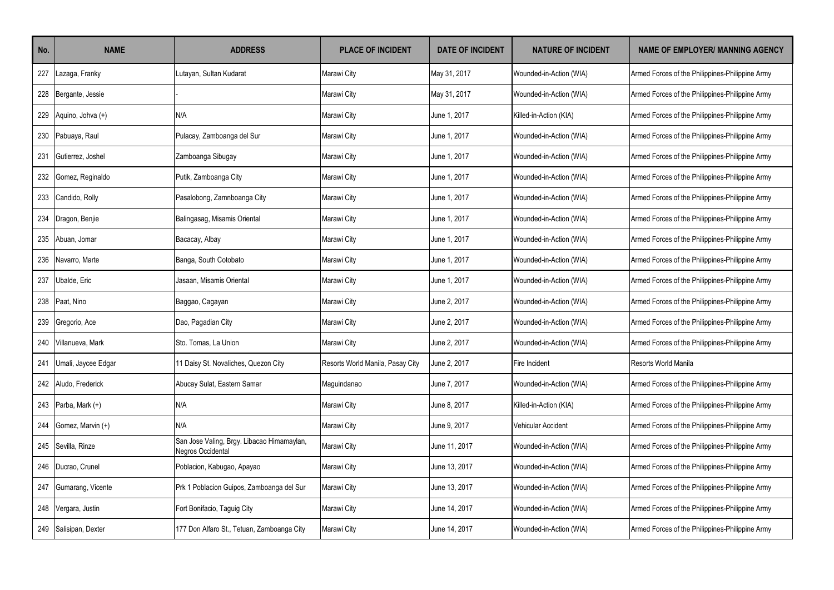| No. | <b>NAME</b>         | <b>ADDRESS</b>                                                  | <b>PLACE OF INCIDENT</b>         | <b>DATE OF INCIDENT</b> | <b>NATURE OF INCIDENT</b> | <b>NAME OF EMPLOYER/ MANNING AGENCY</b>         |
|-----|---------------------|-----------------------------------------------------------------|----------------------------------|-------------------------|---------------------------|-------------------------------------------------|
| 227 | azaga, Franky       | Lutayan, Sultan Kudarat                                         | Marawi City                      | May 31, 2017            | Wounded-in-Action (WIA)   | Armed Forces of the Philippines-Philippine Army |
| 228 | Bergante, Jessie    |                                                                 | Marawi City                      | May 31, 2017            | Wounded-in-Action (WIA)   | Armed Forces of the Philippines-Philippine Army |
| 229 | Aquino, Johva (+)   | N/A                                                             | Marawi City                      | June 1, 2017            | Killed-in-Action (KIA)    | Armed Forces of the Philippines-Philippine Army |
| 230 | Pabuaya, Raul       | Pulacay, Zamboanga del Sur                                      | Marawi City                      | June 1, 2017            | Wounded-in-Action (WIA)   | Armed Forces of the Philippines-Philippine Army |
| 231 | Gutierrez. Joshel   | Zamboanga Sibugay                                               | Marawi City                      | June 1, 2017            | Wounded-in-Action (WIA)   | Armed Forces of the Philippines-Philippine Army |
| 232 | Gomez, Reginaldo    | Putik, Zamboanga City                                           | Marawi City                      | June 1, 2017            | Wounded-in-Action (WIA)   | Armed Forces of the Philippines-Philippine Army |
| 233 | Candido, Rolly      | Pasalobong, Zamnboanga City                                     | Marawi City                      | June 1, 2017            | Wounded-in-Action (WIA)   | Armed Forces of the Philippines-Philippine Army |
| 234 | Dragon, Benjie      | Balingasag, Misamis Oriental                                    | Marawi City                      | June 1, 2017            | Wounded-in-Action (WIA)   | Armed Forces of the Philippines-Philippine Army |
| 235 | Abuan, Jomar        | Bacacay, Albay                                                  | Marawi City                      | June 1, 2017            | Wounded-in-Action (WIA)   | Armed Forces of the Philippines-Philippine Army |
| 236 | Navarro, Marte      | Banga, South Cotobato                                           | Marawi City                      | June 1, 2017            | Wounded-in-Action (WIA)   | Armed Forces of the Philippines-Philippine Army |
| 237 | Jbalde, Eric        | Jasaan, Misamis Oriental                                        | Marawi City                      | June 1, 2017            | Wounded-in-Action (WIA)   | Armed Forces of the Philippines-Philippine Army |
| 238 | Paat, Nino          | Baggao, Cagayan                                                 | Marawi City                      | June 2, 2017            | Wounded-in-Action (WIA)   | Armed Forces of the Philippines-Philippine Army |
| 239 | Gregorio, Ace       | Dao, Pagadian City                                              | Marawi City                      | June 2, 2017            | Wounded-in-Action (WIA)   | Armed Forces of the Philippines-Philippine Army |
| 240 | Villanueva, Mark    | Sto. Tomas. La Union                                            | Marawi City                      | June 2, 2017            | Wounded-in-Action (WIA)   | Armed Forces of the Philippines-Philippine Army |
| 241 | Umali, Jaycee Edgar | 11 Daisy St. Novaliches, Quezon City                            | Resorts World Manila, Pasay City | June 2, 2017            | Fire Incident             | Resorts World Manila                            |
| 242 | Aludo, Frederick    | Abucay Sulat, Eastern Samar                                     | Maguindanao                      | June 7, 2017            | Wounded-in-Action (WIA)   | Armed Forces of the Philippines-Philippine Army |
| 243 | Parba, Mark (+)     | N/A                                                             | Marawi City                      | June 8, 2017            | Killed-in-Action (KIA)    | Armed Forces of the Philippines-Philippine Army |
| 244 | Gomez, Marvin (+)   | N/A                                                             | Marawi City                      | June 9, 2017            | Vehicular Accident        | Armed Forces of the Philippines-Philippine Army |
| 245 | Sevilla, Rinze      | San Jose Valing, Brgy. Libacao Himamaylan,<br>Negros Occidental | Marawi City                      | June 11, 2017           | Wounded-in-Action (WIA)   | Armed Forces of the Philippines-Philippine Army |
| 246 | Ducrao, Crunel      | Poblacion, Kabugao, Apayao                                      | Marawi City                      | June 13, 2017           | Wounded-in-Action (WIA)   | Armed Forces of the Philippines-Philippine Army |
| 247 | Gumarang, Vicente   | Prk 1 Poblacion Guipos, Zamboanga del Sur                       | Marawi City                      | June 13, 2017           | Wounded-in-Action (WIA)   | Armed Forces of the Philippines-Philippine Army |
| 248 | Vergara, Justin     | Fort Bonifacio, Taguig City                                     | Marawi City                      | June 14, 2017           | Wounded-in-Action (WIA)   | Armed Forces of the Philippines-Philippine Army |
| 249 | Salisipan, Dexter   | 177 Don Alfaro St., Tetuan, Zamboanga City                      | Marawi City                      | June 14, 2017           | Wounded-in-Action (WIA)   | Armed Forces of the Philippines-Philippine Army |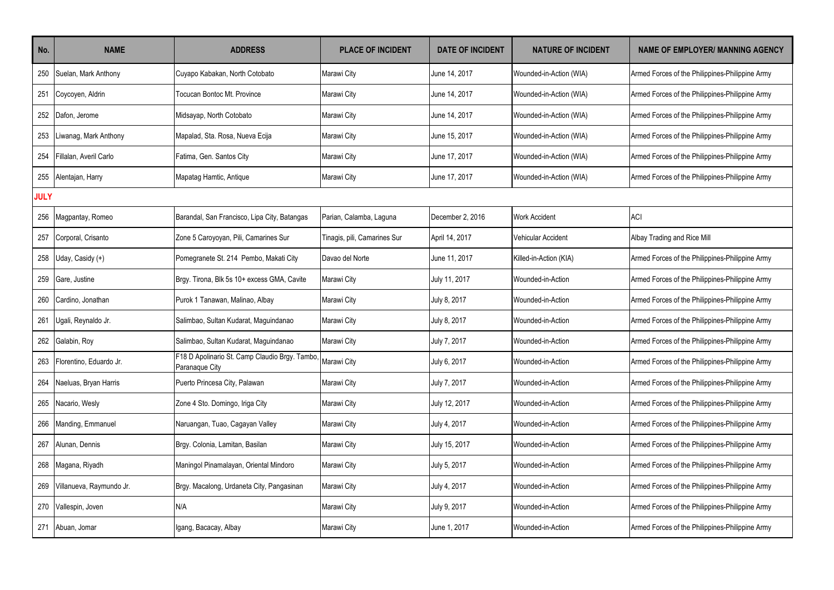| No.         | <b>NAME</b>              | <b>ADDRESS</b>                                                  | <b>PLACE OF INCIDENT</b>     | <b>DATE OF INCIDENT</b> | <b>NATURE OF INCIDENT</b> | <b>NAME OF EMPLOYER/ MANNING AGENCY</b>         |
|-------------|--------------------------|-----------------------------------------------------------------|------------------------------|-------------------------|---------------------------|-------------------------------------------------|
| 250         | Suelan, Mark Anthony     | Cuyapo Kabakan, North Cotobato                                  | Marawi City                  | June 14, 2017           | Wounded-in-Action (WIA)   | Armed Forces of the Philippines-Philippine Army |
| 251         | Coycoyen, Aldrin         | Tocucan Bontoc Mt. Province                                     | Marawi City                  | June 14, 2017           | Wounded-in-Action (WIA)   | Armed Forces of the Philippines-Philippine Army |
| 252         | Dafon, Jerome            | Midsayap, North Cotobato                                        | Marawi City                  | June 14, 2017           | Wounded-in-Action (WIA)   | Armed Forces of the Philippines-Philippine Army |
| 253         | Liwanag, Mark Anthony    | Mapalad, Sta. Rosa, Nueva Ecija                                 | Marawi City                  | June 15, 2017           | Wounded-in-Action (WIA)   | Armed Forces of the Philippines-Philippine Army |
| 254         | Fillalan, Averil Carlo   | Fatima, Gen. Santos City                                        | Marawi City                  | June 17, 2017           | Wounded-in-Action (WIA)   | Armed Forces of the Philippines-Philippine Army |
| 255         | Alentajan, Harry         | Mapatag Hamtic, Antique                                         | Marawi City                  | June 17, 2017           | Wounded-in-Action (WIA)   | Armed Forces of the Philippines-Philippine Army |
| <b>JULY</b> |                          |                                                                 |                              |                         |                           |                                                 |
| 256         | Magpantay, Romeo         | Barandal, San Francisco, Lipa City, Batangas                    | Parian, Calamba, Laguna      | December 2, 2016        | <b>Work Accident</b>      | <b>ACI</b>                                      |
| 257         | Corporal, Crisanto       | Zone 5 Caroyoyan, Pili, Camarines Sur                           | Tinagis, pili, Camarines Sur | April 14, 2017          | <b>Vehicular Accident</b> | Albay Trading and Rice Mill                     |
| 258         | Uday, Casidy (+)         | Pomegranete St. 214 Pembo, Makati City                          | Davao del Norte              | June 11, 2017           | Killed-in-Action (KIA)    | Armed Forces of the Philippines-Philippine Army |
| 259         | Gare, Justine            | Brgy. Tirona, Blk 5s 10+ excess GMA, Cavite                     | Marawi City                  | July 11, 2017           | Wounded-in-Action         | Armed Forces of the Philippines-Philippine Army |
| 260         | Cardino, Jonathan        | Purok 1 Tanawan, Malinao, Albay                                 | Marawi City                  | July 8, 2017            | Wounded-in-Action         | Armed Forces of the Philippines-Philippine Army |
| 261         | Ugali, Reynaldo Jr.      | Salimbao, Sultan Kudarat, Maguindanao                           | Marawi City                  | July 8, 2017            | Wounded-in-Action         | Armed Forces of the Philippines-Philippine Army |
| 262         | Galabin, Roy             | Salimbao, Sultan Kudarat, Maguindanao                           | Marawi City                  | July 7, 2017            | Wounded-in-Action         | Armed Forces of the Philippines-Philippine Army |
| 263         | Florentino. Eduardo Jr.  | F18 D Apolinario St. Camp Claudio Brgy. Tambo<br>Paranaque City | Marawi City                  | July 6, 2017            | Wounded-in-Action         | Armed Forces of the Philippines-Philippine Army |
| 264         | Naeluas, Bryan Harris    | Puerto Princesa City, Palawan                                   | Marawi City                  | July 7, 2017            | Wounded-in-Action         | Armed Forces of the Philippines-Philippine Army |
| 265         | Nacario, Wesly           | Zone 4 Sto. Domingo, Iriga City                                 | Marawi City                  | July 12, 2017           | Wounded-in-Action         | Armed Forces of the Philippines-Philippine Army |
| 266         | Manding, Emmanuel        | Naruangan, Tuao, Cagayan Valley                                 | Marawi City                  | July 4, 2017            | Wounded-in-Action         | Armed Forces of the Philippines-Philippine Army |
| 267         | Alunan, Dennis           | Brgy. Colonia, Lamitan, Basilan                                 | Marawi City                  | July 15, 2017           | Wounded-in-Action         | Armed Forces of the Philippines-Philippine Army |
| 268         | Magana, Riyadh           | Maningol Pinamalayan, Oriental Mindoro                          | Marawi City                  | July 5, 2017            | Wounded-in-Action         | Armed Forces of the Philippines-Philippine Army |
| 269         | Villanueva, Raymundo Jr. | Brgy. Macalong, Urdaneta City, Pangasinan                       | Marawi City                  | July 4, 2017            | Wounded-in-Action         | Armed Forces of the Philippines-Philippine Army |
| 270         | Vallespin, Joven         | N/A                                                             | Marawi City                  | July 9, 2017            | Wounded-in-Action         | Armed Forces of the Philippines-Philippine Army |
| 271         | Abuan, Jomar             | Igang, Bacacay, Albay                                           | Marawi City                  | June 1, 2017            | Wounded-in-Action         | Armed Forces of the Philippines-Philippine Army |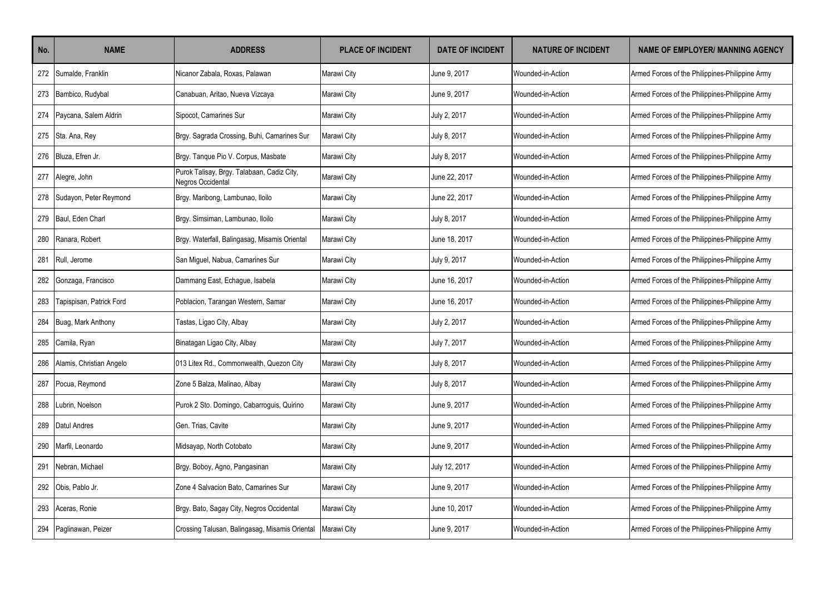| No. | <b>NAME</b>              | <b>ADDRESS</b>                                                  | <b>PLACE OF INCIDENT</b> | <b>DATE OF INCIDENT</b> | <b>NATURE OF INCIDENT</b> | <b>NAME OF EMPLOYER/ MANNING AGENCY</b>         |
|-----|--------------------------|-----------------------------------------------------------------|--------------------------|-------------------------|---------------------------|-------------------------------------------------|
|     | 272 Sumalde, Franklin    | Nicanor Zabala, Roxas, Palawan                                  | Marawi City              | June 9, 2017            | Wounded-in-Action         | Armed Forces of the Philippines-Philippine Army |
|     | 273 Bambico, Rudybal     | Canabuan, Aritao, Nueva Vizcaya                                 | Marawi City              | June 9, 2017            | Wounded-in-Action         | Armed Forces of the Philippines-Philippine Army |
| 274 | Paycana, Salem Aldrin    | Sipocot, Camarines Sur                                          | Marawi City              | July 2, 2017            | Wounded-in-Action         | Armed Forces of the Philippines-Philippine Army |
|     | 275 Sta. Ana, Rey        | Brgy. Sagrada Crossing, Buhi, Camarines Sur                     | Marawi City              | July 8, 2017            | Wounded-in-Action         | Armed Forces of the Philippines-Philippine Army |
|     | 276 Bluza, Efren Jr.     | Brgy. Tanque Pio V. Corpus, Masbate                             | Marawi City              | July 8, 2017            | Wounded-in-Action         | Armed Forces of the Philippines-Philippine Army |
|     | 277 Alegre, John         | Purok Talisay, Brgy. Talabaan, Cadiz City,<br>Negros Occidental | Marawi City              | June 22, 2017           | Wounded-in-Action         | Armed Forces of the Philippines-Philippine Army |
| 278 | Sudayon, Peter Reymond   | Brgy. Maribong, Lambunao, Iloilo                                | Marawi City              | June 22, 2017           | Wounded-in-Action         | Armed Forces of the Philippines-Philippine Army |
| 279 | Baul. Eden Charl         | Brgy. Simsiman, Lambunao, Iloilo                                | Marawi City              | July 8, 2017            | Wounded-in-Action         | Armed Forces of the Philippines-Philippine Army |
| 280 | Ranara, Robert           | Brgy. Waterfall, Balingasag, Misamis Oriental                   | Marawi City              | June 18, 2017           | Wounded-in-Action         | Armed Forces of the Philippines-Philippine Army |
| 281 | Rull. Jerome             | San Miquel, Nabua, Camarines Sur                                | Marawi City              | July 9, 2017            | Wounded-in-Action         | Armed Forces of the Philippines-Philippine Army |
| 282 | Gonzaga, Francisco       | Dammang East, Echague, Isabela                                  | Marawi City              | June 16, 2017           | Wounded-in-Action         | Armed Forces of the Philippines-Philippine Army |
| 283 | Tapispisan, Patrick Ford | Poblacion, Tarangan Western, Samar                              | Marawi City              | June 16, 2017           | Wounded-in-Action         | Armed Forces of the Philippines-Philippine Army |
| 284 | Buag, Mark Anthony       | Tastas, Ligao City, Albay                                       | Marawi City              | July 2, 2017            | Wounded-in-Action         | Armed Forces of the Philippines-Philippine Army |
| 285 | Camila, Ryan             | Binatagan Ligao City, Albay                                     | Marawi City              | July 7, 2017            | Wounded-in-Action         | Armed Forces of the Philippines-Philippine Army |
| 286 | Alamis, Christian Angelo | 013 Litex Rd., Commonwealth, Quezon City                        | Marawi City              | July 8, 2017            | Wounded-in-Action         | Armed Forces of the Philippines-Philippine Army |
| 287 | Pocua, Reymond           | Zone 5 Balza, Malinao, Albay                                    | Marawi City              | July 8, 2017            | Wounded-in-Action         | Armed Forces of the Philippines-Philippine Army |
| 288 | ubrin, Noelson           | Purok 2 Sto. Domingo, Cabarroguis, Quirino                      | Marawi City              | June 9. 2017            | Wounded-in-Action         | Armed Forces of the Philippines-Philippine Army |
| 289 | Datul Andres             | Gen. Trias. Cavite                                              | Marawi City              | June 9. 2017            | Wounded-in-Action         | Armed Forces of the Philippines-Philippine Army |
| 290 | Marfil, Leonardo         | Midsayap, North Cotobato                                        | Marawi City              | June 9, 2017            | Wounded-in-Action         | Armed Forces of the Philippines-Philippine Army |
| 291 | Nebran, Michael          | Brgy. Boboy, Agno, Pangasinan                                   | Marawi City              | July 12, 2017           | Wounded-in-Action         | Armed Forces of the Philippines-Philippine Army |
|     | 292 Obis, Pablo Jr.      | Zone 4 Salvacion Bato, Camarines Sur                            | Marawi City              | June 9, 2017            | Wounded-in-Action         | Armed Forces of the Philippines-Philippine Army |
| 293 | Aceras, Ronie            | Brgy. Bato, Sagay City, Negros Occidental                       | Marawi City              | June 10, 2017           | Wounded-in-Action         | Armed Forces of the Philippines-Philippine Army |
| 294 | Paglinawan, Peizer       | Crossing Talusan, Balingasag, Misamis Oriental                  | Marawi City              | June 9, 2017            | Wounded-in-Action         | Armed Forces of the Philippines-Philippine Army |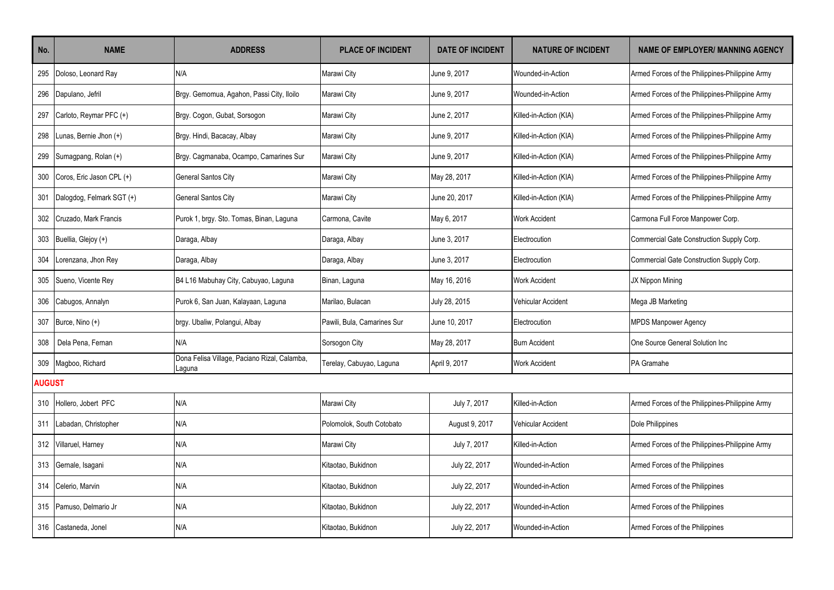| No.           | <b>NAME</b>               | <b>ADDRESS</b>                                         | <b>PLACE OF INCIDENT</b>    | <b>DATE OF INCIDENT</b> | <b>NATURE OF INCIDENT</b> | <b>NAME OF EMPLOYER/ MANNING AGENCY</b>         |
|---------------|---------------------------|--------------------------------------------------------|-----------------------------|-------------------------|---------------------------|-------------------------------------------------|
| 295           | Doloso, Leonard Ray       | N/A                                                    | Marawi City                 | June 9. 2017            | Wounded-in-Action         | Armed Forces of the Philippines-Philippine Army |
| 296           | Dapulano, Jefril          | Brgy. Gemomua, Agahon, Passi City, Iloilo              | Marawi City                 | June 9, 2017            | Wounded-in-Action         | Armed Forces of the Philippines-Philippine Army |
| 297           | Carloto, Reymar PFC (+)   | Brgy. Cogon, Gubat, Sorsogon                           | Marawi City                 | June 2, 2017            | Killed-in-Action (KIA)    | Armed Forces of the Philippines-Philippine Army |
| 298           | Lunas, Bernie Jhon (+)    | Brgy. Hindi, Bacacay, Albay                            | Marawi City                 | June 9, 2017            | Killed-in-Action (KIA)    | Armed Forces of the Philippines-Philippine Army |
| 299           | Sumagpang, Rolan (+)      | Brgy. Cagmanaba, Ocampo, Camarines Sur                 | Marawi City                 | June 9, 2017            | Killed-in-Action (KIA)    | Armed Forces of the Philippines-Philippine Army |
| 300           | Coros, Eric Jason CPL (+) | <b>General Santos City</b>                             | Marawi City                 | May 28, 2017            | Killed-in-Action (KIA)    | Armed Forces of the Philippines-Philippine Army |
| 301           | Dalogdog, Felmark SGT (+) | <b>General Santos City</b>                             | Marawi City                 | June 20, 2017           | Killed-in-Action (KIA)    | Armed Forces of the Philippines-Philippine Army |
| 302           | Cruzado, Mark Francis     | Purok 1, brgy. Sto. Tomas, Binan, Laguna               | Carmona, Cavite             | May 6, 2017             | <b>Work Accident</b>      | Carmona Full Force Manpower Corp.               |
| 303           | Buellia, Glejoy (+)       | Daraga, Albay                                          | Daraga, Albay               | June 3, 2017            | Electrocution             | Commercial Gate Construction Supply Corp.       |
| 304           | orenzana, Jhon Rey        | Daraga, Albay                                          | Daraga, Albay               | June 3, 2017            | Electrocution             | Commercial Gate Construction Supply Corp.       |
| 305           | Sueno, Vicente Rey        | B4 L16 Mabuhay City, Cabuyao, Laguna                   | Binan, Laguna               | May 16, 2016            | <b>Work Accident</b>      | JX Nippon Mining                                |
| 306           | Cabugos, Annalyn          | Purok 6, San Juan, Kalayaan, Laguna                    | Marilao, Bulacan            | July 28, 2015           | Vehicular Accident        | Mega JB Marketing                               |
| 307           | Burce, Nino (+)           | brgy. Ubaliw, Polangui, Albay                          | Pawili, Bula, Camarines Sur | June 10, 2017           | Electrocution             | <b>MPDS Manpower Agency</b>                     |
| 308           | Dela Pena, Fernan         | N/A                                                    | Sorsogon City               | May 28, 2017            | <b>Burn Accident</b>      | One Source General Solution Inc                 |
| 309           | Magboo, Richard           | Dona Felisa Village, Paciano Rizal, Calamba,<br>Laguna | Terelay, Cabuyao, Laguna    | April 9, 2017           | <b>Work Accident</b>      | PA Gramahe                                      |
| <b>AUGUST</b> |                           |                                                        |                             |                         |                           |                                                 |
| 310           | Hollero, Jobert PFC       | N/A                                                    | Marawi City                 | July 7, 2017            | Killed-in-Action          | Armed Forces of the Philippines-Philippine Army |
| 311           | Labadan, Christopher      | N/A                                                    | Polomolok, South Cotobato   | August 9, 2017          | <b>Vehicular Accident</b> | Dole Philippines                                |
| 312           | Villaruel, Harney         | N/A                                                    | Marawi City                 | July 7, 2017            | Killed-in-Action          | Armed Forces of the Philippines-Philippine Army |
| 313           | Gernale, Isagani          | N/A                                                    | Kitaotao, Bukidnon          | July 22, 2017           | Wounded-in-Action         | Armed Forces of the Philippines                 |
| 314           | Celerio, Marvin           | N/A                                                    | Kitaotao, Bukidnon          | July 22, 2017           | Wounded-in-Action         | Armed Forces of the Philippines                 |
| 315           | Pamuso, Delmario Jr       | N/A                                                    | Kitaotao, Bukidnon          | July 22, 2017           | Wounded-in-Action         | Armed Forces of the Philippines                 |
| 316           | Castaneda, Jonel          | N/A                                                    | Kitaotao, Bukidnon          | July 22, 2017           | Wounded-in-Action         | Armed Forces of the Philippines                 |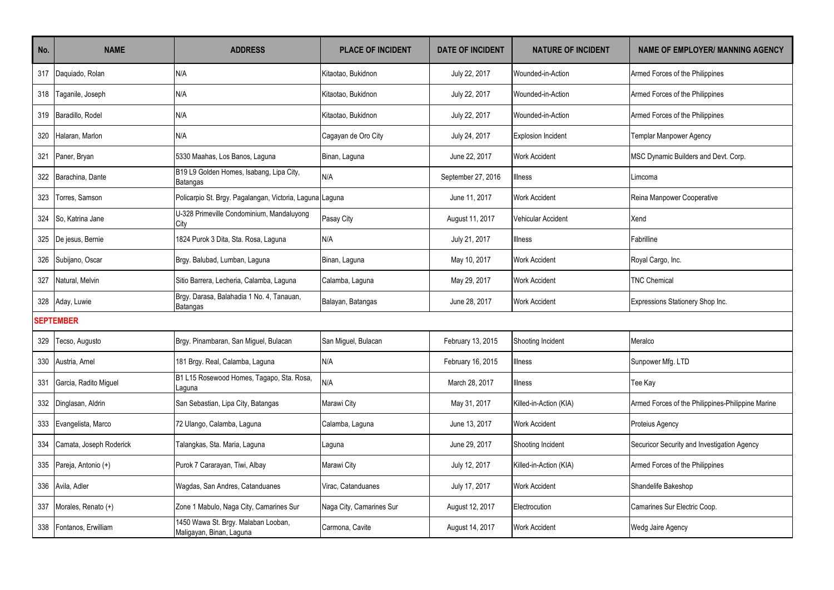| No.              | <b>NAME</b>             | <b>ADDRESS</b>                                                  | <b>PLACE OF INCIDENT</b> | <b>DATE OF INCIDENT</b> | <b>NATURE OF INCIDENT</b> | <b>NAME OF EMPLOYER/ MANNING AGENCY</b>           |
|------------------|-------------------------|-----------------------------------------------------------------|--------------------------|-------------------------|---------------------------|---------------------------------------------------|
| 317              | Daquiado, Rolan         | N/A                                                             | Kitaotao, Bukidnon       | July 22, 2017           | Wounded-in-Action         | Armed Forces of the Philippines                   |
| 318              | Taganile, Joseph        | N/A                                                             | Kitaotao, Bukidnon       | July 22, 2017           | Wounded-in-Action         | Armed Forces of the Philippines                   |
| 319              | Baradillo, Rodel        | N/A                                                             | Kitaotao, Bukidnon       | July 22, 2017           | Wounded-in-Action         | Armed Forces of the Philippines                   |
| 320              | Halaran, Marlon         | N/A                                                             | Cagayan de Oro City      | July 24, 2017           | <b>Explosion Incident</b> | Templar Manpower Agency                           |
| 321              | Paner, Bryan            | 5330 Maahas, Los Banos, Laguna                                  | Binan, Laguna            | June 22, 2017           | <b>Work Accident</b>      | MSC Dynamic Builders and Devt. Corp.              |
| 322              | Barachina, Dante        | B19 L9 Golden Homes, Isabang, Lipa City,<br>Batangas            | N/A                      | September 27, 2016      | llness                    | Limcoma                                           |
| 323              | Torres, Samson          | Policarpio St. Brgy. Pagalangan, Victoria, Laguna Laguna        |                          | June 11, 2017           | <b>Work Accident</b>      | Reina Manpower Cooperative                        |
| 324              | So, Katrina Jane        | U-328 Primeville Condominium, Mandaluyong<br>City               | Pasay City               | August 11, 2017         | Vehicular Accident        | Xend                                              |
| 325              | De jesus, Bernie        | 1824 Purok 3 Dita, Sta. Rosa, Laguna                            | N/A                      | July 21, 2017           | <b>Illness</b>            | Fabrilline                                        |
| 326              | Subijano, Oscar         | Brgy. Balubad, Lumban, Laguna                                   | Binan, Laguna            | May 10, 2017            | <b>Work Accident</b>      | Royal Cargo, Inc.                                 |
| 327              | Natural, Melvin         | Sitio Barrera, Lecheria, Calamba, Laguna                        | Calamba, Laguna          | May 29, 2017            | <b>Work Accident</b>      | <b>TNC Chemical</b>                               |
| 328              | Aday, Luwie             | Brgy. Darasa, Balahadia 1 No. 4, Tanauan,<br><b>Batangas</b>    | Balayan, Batangas        | June 28, 2017           | <b>Work Accident</b>      | Expressions Stationery Shop Inc.                  |
| <b>SEPTEMBER</b> |                         |                                                                 |                          |                         |                           |                                                   |
| 329              | Tecso, Augusto          | Brgy. Pinambaran, San Miguel, Bulacan                           | San Miguel, Bulacan      | February 13, 2015       | Shooting Incident         | Meralco                                           |
| 330              | Austria, Arnel          | 181 Brgy. Real, Calamba, Laguna                                 | N/A                      | February 16, 2015       | <b>Illness</b>            | Sunpower Mfg. LTD                                 |
| 331              | Garcia, Radito Miguel   | B1 L15 Rosewood Homes, Tagapo, Sta. Rosa,<br>Laguna             | N/A                      | March 28, 2017          | lllness                   | Tee Kay                                           |
| 332              | Dinglasan, Aldrin       | San Sebastian, Lipa City, Batangas                              | Marawi City              | May 31, 2017            | Killed-in-Action (KIA)    | Armed Forces of the Philippines-Philippine Marine |
| 333              | Evangelista, Marco      | 72 Ulango, Calamba, Laguna                                      | Calamba, Laquna          | June 13, 2017           | <b>Work Accident</b>      | Proteius Agency                                   |
| 334              | Camata, Joseph Roderick | Talangkas, Sta. Maria, Laguna                                   | Laguna                   | June 29, 2017           | Shooting Incident         | Securicor Security and Investigation Agency       |
| 335              | Pareja, Antonio (+)     | Purok 7 Cararayan, Tiwi, Albay                                  | Marawi City              | July 12, 2017           | Killed-in-Action (KIA)    | Armed Forces of the Philippines                   |
| 336              | Avila, Adler            | Wagdas, San Andres, Catanduanes                                 | Virac. Catanduanes       | July 17, 2017           | <b>Work Accident</b>      | Shandelife Bakeshop                               |
| 337              | Morales, Renato (+)     | Zone 1 Mabulo, Naga City, Camarines Sur                         | Naga City, Camarines Sur | August 12, 2017         | Electrocution             | Camarines Sur Electric Coop.                      |
| 338              | Fontanos, Erwilliam     | 1450 Wawa St. Brgy. Malaban Looban,<br>Maligayan, Binan, Laguna | Carmona, Cavite          | August 14, 2017         | <b>Work Accident</b>      | Wedg Jaire Agency                                 |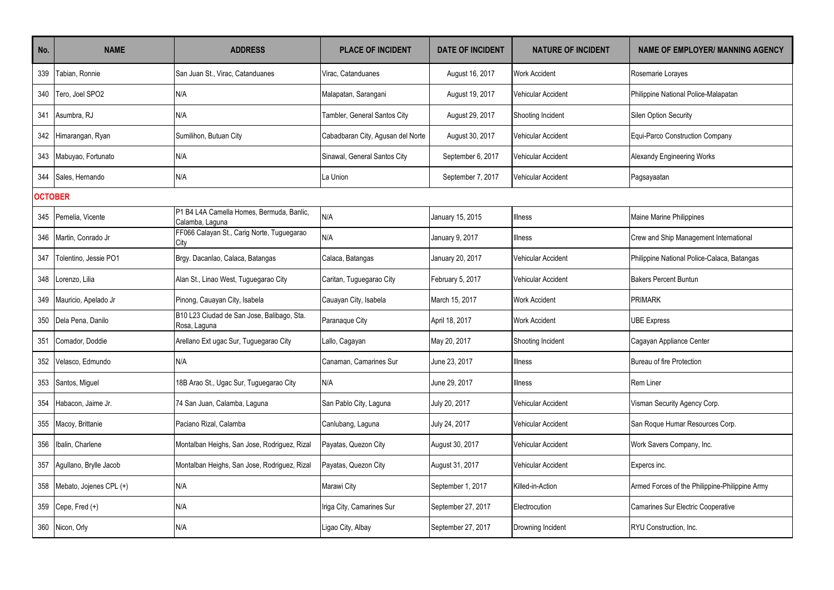| No.            | <b>NAME</b>             | <b>ADDRESS</b>                                               | <b>PLACE OF INCIDENT</b>          | <b>DATE OF INCIDENT</b> | <b>NATURE OF INCIDENT</b> | <b>NAME OF EMPLOYER/ MANNING AGENCY</b>        |
|----------------|-------------------------|--------------------------------------------------------------|-----------------------------------|-------------------------|---------------------------|------------------------------------------------|
| 339            | Tabian, Ronnie          | San Juan St., Virac, Catanduanes                             | Virac. Catanduanes                | August 16, 2017         | <b>Work Accident</b>      | Rosemarie Lorayes                              |
| 340            | Tero. Joel SPO2         | N/A                                                          | Malapatan, Sarangani              | August 19, 2017         | Vehicular Accident        | Philippine National Police-Malapatan           |
| 341            | Asumbra, RJ             | N/A                                                          | Tambler, General Santos City      | August 29, 2017         | Shooting Incident         | Silen Option Security                          |
| 342            | Himarangan, Ryan        | Sumilihon, Butuan City                                       | Cabadbaran City, Agusan del Norte | August 30, 2017         | <b>Vehicular Accident</b> | Equi-Parco Construction Company                |
| 343            | Mabuyao, Fortunato      | N/A                                                          | Sinawal, General Santos City      | September 6, 2017       | Vehicular Accident        | Alexandy Engineering Works                     |
| 344            | Sales, Hernando         | N/A                                                          | La Union                          | September 7, 2017       | Vehicular Accident        | Pagsayaatan                                    |
| <b>OCTOBER</b> |                         |                                                              |                                   |                         |                           |                                                |
| 345            | Pernelia, Vicente       | P1 B4 L4A Camella Homes, Bermuda, Banlic,<br>Calamba, Laguna | N/A                               | January 15, 2015        | <b>Illness</b>            | Maine Marine Philippines                       |
| 346            | Martin, Conrado Jr      | FF066 Calayan St., Carig Norte, Tuguegarao<br>City           | N/A                               | January 9, 2017         | lllness                   | Crew and Ship Management International         |
| 347            | Tolentino, Jessie PO1   | Brgy. Dacanlao, Calaca, Batangas                             | Calaca, Batangas                  | January 20, 2017        | Vehicular Accident        | Philippine National Police-Calaca, Batangas    |
| 348            | Lorenzo, Lilia          | Alan St., Linao West, Tuguegarao City                        | Caritan, Tuguegarao City          | February 5, 2017        | Vehicular Accident        | <b>Bakers Percent Buntun</b>                   |
| 349            | Mauricio, Apelado Jr    | Pinong, Cauayan City, Isabela                                | Cauayan City, Isabela             | March 15, 2017          | <b>Work Accident</b>      | <b>PRIMARK</b>                                 |
| 350            | Dela Pena, Danilo       | B10 L23 Ciudad de San Jose, Balibago, Sta.<br>Rosa, Laguna   | Paranaque City                    | April 18, 2017          | Work Accident             | <b>UBE Express</b>                             |
| 351            | Comador, Doddie         | Arellano Ext ugac Sur, Tuguegarao City                       | Lallo, Cagayan                    | May 20, 2017            | Shooting Incident         | Cagayan Appliance Center                       |
| 352            | Velasco, Edmundo        | N/A                                                          | Canaman, Camarines Sur            | June 23, 2017           | <b>Illness</b>            | Bureau of fire Protection                      |
| 353            | Santos, Miguel          | 18B Arao St., Ugac Sur, Tuguegarao City                      | N/A                               | June 29, 2017           | <b>Illness</b>            | <b>Rem Liner</b>                               |
| 354            | Habacon, Jaime Jr.      | 74 San Juan, Calamba, Laguna                                 | San Pablo City, Laguna            | July 20, 2017           | <b>Vehicular Accident</b> | Visman Security Agency Corp.                   |
| 355            | Macoy, Brittanie        | Paciano Rizal, Calamba                                       | Canlubang, Laguna                 | July 24, 2017           | <b>Vehicular Accident</b> | San Roque Humar Resources Corp.                |
| 356            | Ibalin, Charlene        | Montalban Heighs, San Jose, Rodriguez, Rizal                 | Payatas, Quezon City              | August 30, 2017         | Vehicular Accident        | Work Savers Company, Inc.                      |
| 357            | Agullano, Brylle Jacob  | Montalban Heighs, San Jose, Rodriguez, Rizal                 | Payatas, Quezon City              | August 31, 2017         | <b>Vehicular Accident</b> | Expercs inc.                                   |
| 358            | Mebato, Jojenes CPL (+) | N/A                                                          | Marawi City                       | September 1, 2017       | Killed-in-Action          | Armed Forces of the Philippine-Philippine Army |
| 359            | Cepe, Fred (+)          | N/A                                                          | Iriga City, Camarines Sur         | September 27, 2017      | Electrocution             | Camarines Sur Electric Cooperative             |
| 360            | Nicon, Orly             | N/A                                                          | Ligao City, Albay                 | September 27, 2017      | Drowning Incident         | RYU Construction, Inc.                         |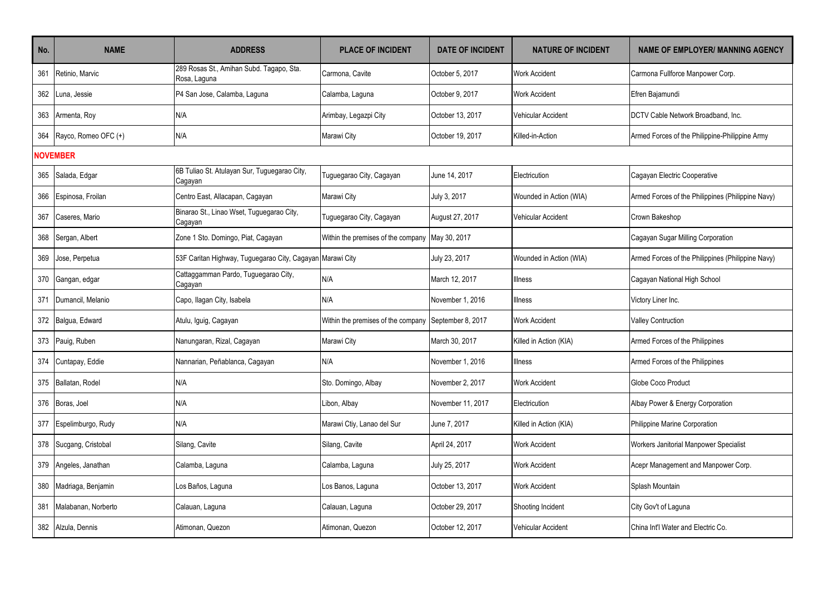| No. | <b>NAME</b>          | <b>ADDRESS</b>                                           | <b>PLACE OF INCIDENT</b>                             | <b>DATE OF INCIDENT</b> | <b>NATURE OF INCIDENT</b> | <b>NAME OF EMPLOYER/ MANNING AGENCY</b>           |
|-----|----------------------|----------------------------------------------------------|------------------------------------------------------|-------------------------|---------------------------|---------------------------------------------------|
| 361 | Retinio, Marvic      | 289 Rosas St., Amihan Subd. Tagapo, Sta.<br>Rosa, Laguna | Carmona, Cavite                                      | October 5, 2017         | <b>Work Accident</b>      | Carmona Fullforce Manpower Corp.                  |
| 362 | Luna, Jessie         | P4 San Jose, Calamba, Laguna                             | Calamba, Laquna                                      | October 9, 2017         | <b>Work Accident</b>      | Efren Bajamundi                                   |
| 363 | Armenta, Roy         | N/A                                                      | Arimbay, Legazpi City                                | October 13, 2017        | Vehicular Accident        | DCTV Cable Network Broadband, Inc.                |
| 364 | Rayco, Romeo OFC (+) | N/A                                                      | Marawi City                                          | October 19, 2017        | Killed-in-Action          | Armed Forces of the Philippine-Philippine Army    |
|     | <b>NOVEMBER</b>      |                                                          |                                                      |                         |                           |                                                   |
| 365 | Salada, Edgar        | 6B Tuliao St. Atulayan Sur, Tuguegarao City,<br>Cagayan  | Tuguegarao City, Cagayan                             | June 14, 2017           | Electricution             | Cagayan Electric Cooperative                      |
| 366 | Espinosa, Froilan    | Centro East, Allacapan, Cagayan                          | Marawi City                                          | July 3, 2017            | Wounded in Action (WIA)   | Armed Forces of the Philippines (Philippine Navy) |
| 367 | Caseres, Mario       | Binarao St., Linao Wset, Tuguegarao City,<br>Cagayan     | Tuguegarao City, Cagayan                             | August 27, 2017         | Vehicular Accident        | Crown Bakeshop                                    |
| 368 | Sergan, Albert       | Zone 1 Sto. Domingo, Piat, Cagayan                       | Within the premises of the company May 30, 2017      |                         |                           | Cagayan Sugar Milling Corporation                 |
| 369 | Jose, Perpetua       | 53F Caritan Highway, Tuguegarao City, Cagayan            | Marawi City                                          | July 23, 2017           | Wounded in Action (WIA)   | Armed Forces of the Philippines (Philippine Navy) |
| 370 | Gangan, edgar        | Cattaggamman Pardo, Tuguegarao City,<br>Cagayan          | N/A                                                  | March 12, 2017          | <b>Illness</b>            | Cagayan National High School                      |
| 371 | Dumancil, Melanio    | Capo, Ilagan City, Isabela                               | N/A                                                  | November 1, 2016        | <b>Illness</b>            | Victory Liner Inc.                                |
| 372 | Balgua, Edward       | Atulu, Iguig, Cagayan                                    | Within the premises of the company September 8, 2017 |                         | <b>Work Accident</b>      | <b>Valley Contruction</b>                         |
| 373 | Pauig, Ruben         | Nanungaran, Rizal, Cagayan                               | Marawi City                                          | March 30, 2017          | Killed in Action (KIA)    | Armed Forces of the Philippines                   |
| 374 | Cuntapay, Eddie      | Nannarian, Peñablanca, Cagayan                           | N/A                                                  | November 1, 2016        | <b>Illness</b>            | Armed Forces of the Philippines                   |
| 375 | Ballatan, Rodel      | N/A                                                      | Sto. Domingo, Albay                                  | November 2, 2017        | <b>Work Accident</b>      | Globe Coco Product                                |
| 376 | Boras, Joel          | N/A                                                      | Libon, Albay                                         | November 11, 2017       | Electricution             | Albay Power & Energy Corporation                  |
| 377 | Espelimburgo, Rudy   | N/A                                                      | Marawi Ctiy, Lanao del Sur                           | June 7, 2017            | Killed in Action (KIA)    | Philippine Marine Corporation                     |
| 378 | Sucgang, Cristobal   | Silang, Cavite                                           | Silang, Cavite                                       | April 24, 2017          | <b>Work Accident</b>      | Workers Janitorial Manpower Specialist            |
| 379 | Angeles, Janathan    | Calamba, Laguna                                          | Calamba, Laguna                                      | July 25, 2017           | <b>Work Accident</b>      | Acepr Management and Manpower Corp.               |
| 380 | Madriaga, Benjamin   | Los Baños, Laguna                                        | Los Banos, Laguna                                    | October 13, 2017        | Work Accident             | Splash Mountain                                   |
| 381 | Malabanan, Norberto  | Calauan, Laguna                                          | Calauan, Laguna                                      | October 29, 2017        | Shooting Incident         | City Gov't of Laguna                              |
| 382 | Alzula, Dennis       | Atimonan, Quezon                                         | Atimonan, Quezon                                     | October 12, 2017        | Vehicular Accident        | China Int'l Water and Electric Co.                |